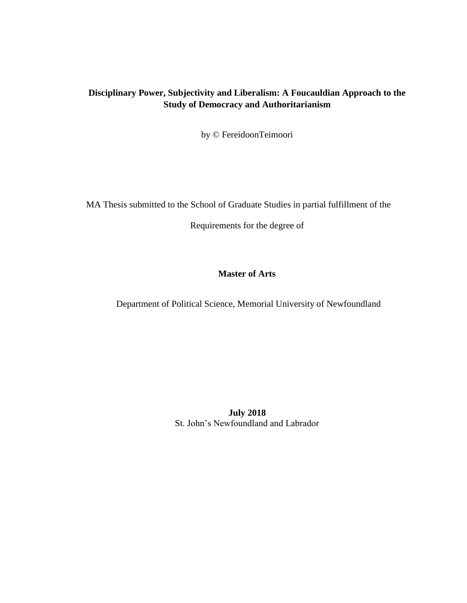# **Disciplinary Power, Subjectivity and Liberalism: A Foucauldian Approach to the Study of Democracy and Authoritarianism**

by © FereidoonTeimoori

MA Thesis submitted to the School of Graduate Studies in partial fulfillment of the

Requirements for the degree of

## **Master of Arts**

Department of Political Science, Memorial University of Newfoundland

**July 2018** St. John's Newfoundland and Labrador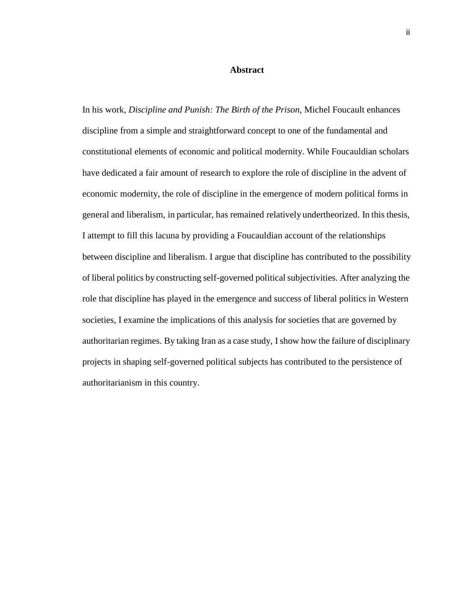#### **Abstract**

In his work, *Discipline and Punish: The Birth of the Prison*, Michel Foucault enhances discipline from a simple and straightforward concept to one of the fundamental and constitutional elements of economic and political modernity. While Foucauldian scholars have dedicated a fair amount of research to explore the role of discipline in the advent of economic modernity, the role of discipline in the emergence of modern political forms in general and liberalism, in particular, has remained relatively undertheorized. In this thesis, I attempt to fill this lacuna by providing a Foucauldian account of the relationships between discipline and liberalism. I argue that discipline has contributed to the possibility of liberal politics by constructing self-governed politicalsubjectivities. After analyzing the role that discipline has played in the emergence and success of liberal politics in Western societies, I examine the implications of this analysis for societies that are governed by authoritarian regimes. By taking Iran as a case study, Ishow how the failure of disciplinary projects in shaping self-governed political subjects has contributed to the persistence of authoritarianism in this country.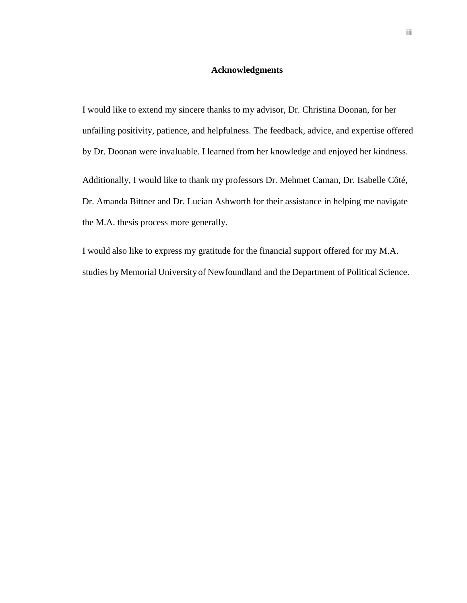#### **Acknowledgments**

I would like to extend my sincere thanks to my advisor, Dr. Christina Doonan, for her unfailing positivity, patience, and helpfulness. The feedback, advice, and expertise offered by Dr. Doonan were invaluable. I learned from her knowledge and enjoyed her kindness.

Additionally, I would like to thank my professors Dr. Mehmet Caman, Dr. Isabelle Côté, Dr. Amanda Bittner and Dr. Lucian Ashworth for their assistance in helping me navigate the M.A. thesis process more generally.

I would also like to express my gratitude for the financial support offered for my M.A. studies by Memorial University of Newfoundland and the Department of Political Science.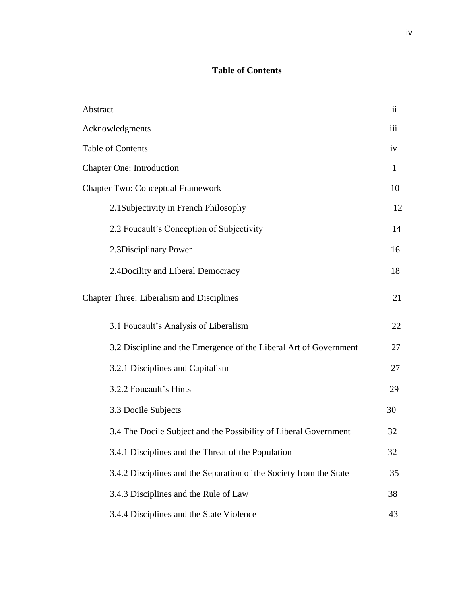# **Table of Contents**

| Abstract                                                           | $\ddot{\rm ii}$ |
|--------------------------------------------------------------------|-----------------|
| Acknowledgments                                                    | iii             |
| <b>Table of Contents</b>                                           | iv              |
| <b>Chapter One: Introduction</b>                                   | $\mathbf{1}$    |
| <b>Chapter Two: Conceptual Framework</b>                           | 10              |
| 2.1Subjectivity in French Philosophy                               | 12              |
| 2.2 Foucault's Conception of Subjectivity                          | 14              |
| 2.3Disciplinary Power                                              | 16              |
| 2.4Docility and Liberal Democracy                                  | 18              |
| <b>Chapter Three: Liberalism and Disciplines</b>                   | 21              |
| 3.1 Foucault's Analysis of Liberalism                              | 22              |
| 3.2 Discipline and the Emergence of the Liberal Art of Government  | 27              |
| 3.2.1 Disciplines and Capitalism                                   | 27              |
| 3.2.2 Foucault's Hints                                             | 29              |
| 3.3 Docile Subjects                                                | 30              |
| 3.4 The Docile Subject and the Possibility of Liberal Government   | 32              |
| 3.4.1 Disciplines and the Threat of the Population                 | 32              |
| 3.4.2 Disciplines and the Separation of the Society from the State | 35              |
| 3.4.3 Disciplines and the Rule of Law                              | 38              |
| 3.4.4 Disciplines and the State Violence                           | 43              |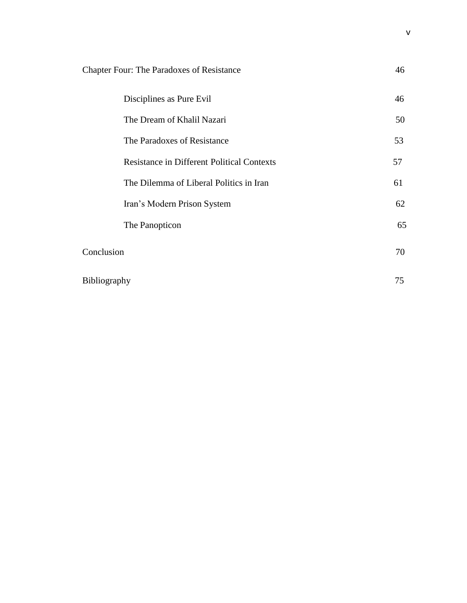| <b>Chapter Four: The Paradoxes of Resistance</b>  | 46 |
|---------------------------------------------------|----|
| Disciplines as Pure Evil                          | 46 |
| The Dream of Khalil Nazari                        | 50 |
| The Paradoxes of Resistance                       | 53 |
| <b>Resistance in Different Political Contexts</b> | 57 |
| The Dilemma of Liberal Politics in Iran           | 61 |
| Iran's Modern Prison System                       | 62 |
| The Panopticon                                    | 65 |
| Conclusion                                        | 70 |
| <b>Bibliography</b>                               | 75 |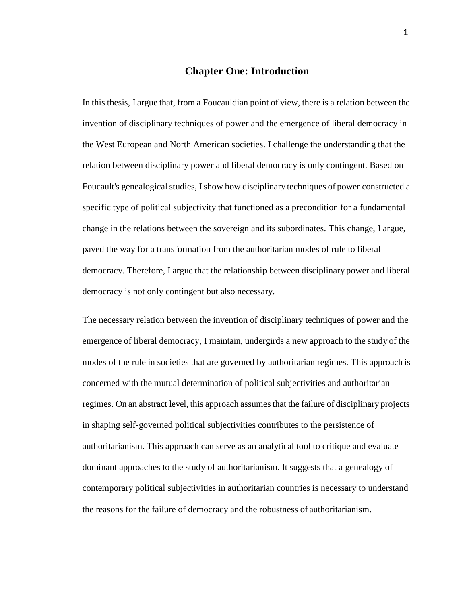## **Chapter One: Introduction**

In this thesis, I argue that, from a Foucauldian point of view, there is a relation between the invention of disciplinary techniques of power and the emergence of liberal democracy in the West European and North American societies. I challenge the understanding that the relation between disciplinary power and liberal democracy is only contingent. Based on Foucault's genealogical studies, I show how disciplinary techniques of power constructed a specific type of political subjectivity that functioned as a precondition for a fundamental change in the relations between the sovereign and its subordinates. This change, I argue, paved the way for a transformation from the authoritarian modes of rule to liberal democracy. Therefore, I argue that the relationship between disciplinary power and liberal democracy is not only contingent but also necessary.

The necessary relation between the invention of disciplinary techniques of power and the emergence of liberal democracy, I maintain, undergirds a new approach to the study of the modes of the rule in societies that are governed by authoritarian regimes. This approach is concerned with the mutual determination of political subjectivities and authoritarian regimes. On an abstract level, this approach assumes that the failure of disciplinary projects in shaping self-governed political subjectivities contributes to the persistence of authoritarianism. This approach can serve as an analytical tool to critique and evaluate dominant approaches to the study of authoritarianism. It suggests that a genealogy of contemporary political subjectivities in authoritarian countries is necessary to understand the reasons for the failure of democracy and the robustness of authoritarianism.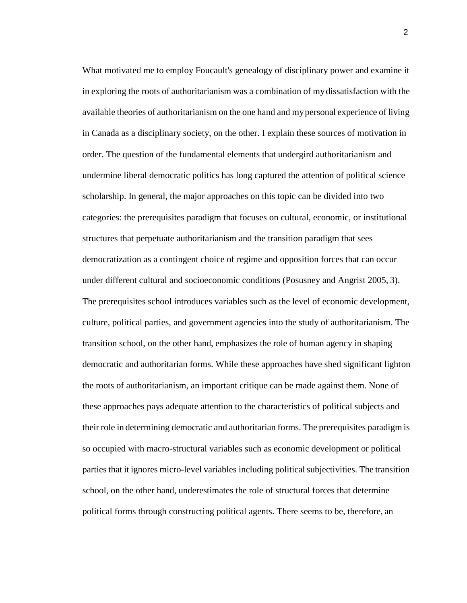What motivated me to employ Foucault's genealogy of disciplinary power and examine it in exploring the roots of authoritarianism was a combination of mydissatisfaction with the available theories of authoritarianism on the one hand and mypersonal experience of living in Canada as a disciplinary society, on the other. I explain these sources of motivation in order. The question of the fundamental elements that undergird authoritarianism and undermine liberal democratic politics has long captured the attention of political science scholarship. In general, the major approaches on this topic can be divided into two categories: the prerequisites paradigm that focuses on cultural, economic, or institutional structures that perpetuate authoritarianism and the transition paradigm that sees democratization as a contingent choice of regime and opposition forces that can occur under different cultural and socioeconomic conditions (Posusney and Angrist 2005, 3). The prerequisites school introduces variables such as the level of economic development, culture, political parties, and government agencies into the study of authoritarianism. The transition school, on the other hand, emphasizes the role of human agency in shaping democratic and authoritarian forms. While these approaches have shed significant lighton the roots of authoritarianism, an important critique can be made against them. None of these approaches pays adequate attention to the characteristics of political subjects and their role in determining democratic and authoritarian forms. The prerequisites paradigm is so occupied with macro-structural variables such as economic development or political parties that it ignores micro-level variables including political subjectivities. The transition school, on the other hand, underestimates the role of structural forces that determine political forms through constructing political agents. There seems to be, therefore, an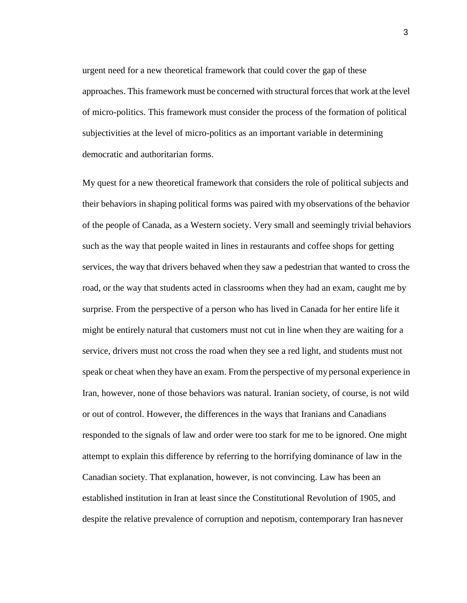urgent need for a new theoretical framework that could cover the gap of these approaches. This framework must be concerned with structural forces that work at the level of micro-politics. This framework must consider the process of the formation of political subjectivities at the level of micro-politics as an important variable in determining democratic and authoritarian forms.

My quest for a new theoretical framework that considers the role of political subjects and their behaviors in shaping political forms was paired with my observations of the behavior of the people of Canada, as a Western society. Very small and seemingly trivial behaviors such as the way that people waited in lines in restaurants and coffee shops for getting services, the way that drivers behaved when they saw a pedestrian that wanted to cross the road, or the way that students acted in classrooms when they had an exam, caught me by surprise. From the perspective of a person who has lived in Canada for her entire life it might be entirely natural that customers must not cut in line when they are waiting for a service, drivers must not cross the road when they see a red light, and students must not speak or cheat when they have an exam. From the perspective of my personal experience in Iran, however, none of those behaviors was natural. Iranian society, of course, is not wild or out of control. However, the differences in the ways that Iranians and Canadians responded to the signals of law and order were too stark for me to be ignored. One might attempt to explain this difference by referring to the horrifying dominance of law in the Canadian society. That explanation, however, is not convincing. Law has been an established institution in Iran at least since the Constitutional Revolution of 1905, and despite the relative prevalence of corruption and nepotism, contemporary Iran hasnever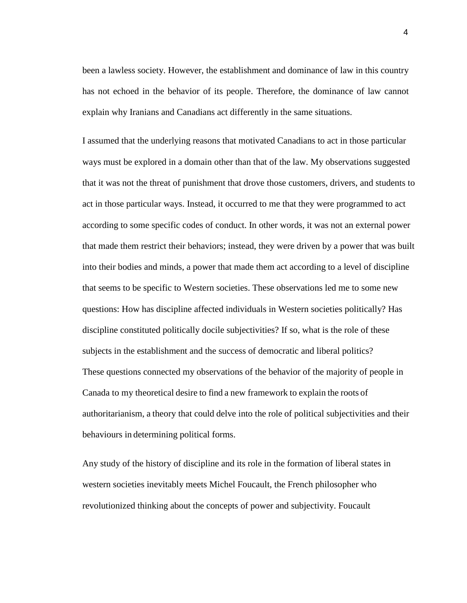been a lawless society. However, the establishment and dominance of law in this country has not echoed in the behavior of its people. Therefore, the dominance of law cannot explain why Iranians and Canadians act differently in the same situations.

I assumed that the underlying reasons that motivated Canadians to act in those particular ways must be explored in a domain other than that of the law. My observations suggested that it was not the threat of punishment that drove those customers, drivers, and students to act in those particular ways. Instead, it occurred to me that they were programmed to act according to some specific codes of conduct. In other words, it was not an external power that made them restrict their behaviors; instead, they were driven by a power that was built into their bodies and minds, a power that made them act according to a level of discipline that seems to be specific to Western societies. These observations led me to some new questions: How has discipline affected individuals in Western societies politically? Has discipline constituted politically docile subjectivities? If so, what is the role of these subjects in the establishment and the success of democratic and liberal politics? These questions connected my observations of the behavior of the majority of people in Canada to my theoretical desire to find a new framework to explain the roots of authoritarianism, a theory that could delve into the role of political subjectivities and their behaviours in determining political forms.

Any study of the history of discipline and its role in the formation of liberal states in western societies inevitably meets Michel Foucault, the French philosopher who revolutionized thinking about the concepts of power and subjectivity. Foucault

4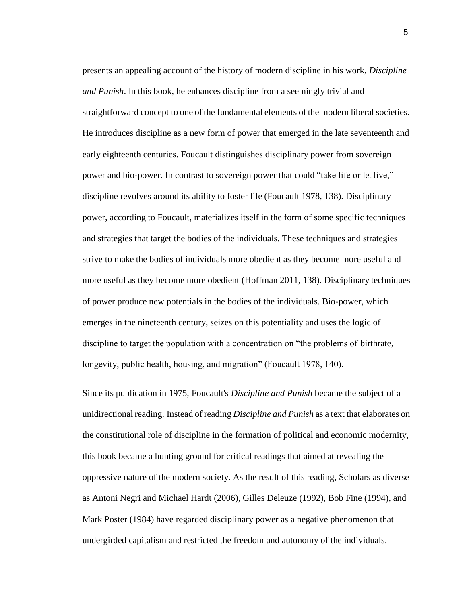presents an appealing account of the history of modern discipline in his work, *Discipline and Punish*. In this book, he enhances discipline from a seemingly trivial and straightforward concept to one of the fundamental elements of the modern liberal societies. He introduces discipline as a new form of power that emerged in the late seventeenth and early eighteenth centuries. Foucault distinguishes disciplinary power from sovereign power and bio-power. In contrast to sovereign power that could "take life or let live," discipline revolves around its ability to foster life (Foucault 1978, 138). Disciplinary power, according to Foucault, materializes itself in the form of some specific techniques and strategies that target the bodies of the individuals. These techniques and strategies strive to make the bodies of individuals more obedient as they become more useful and more useful as they become more obedient (Hoffman 2011, 138). Disciplinary techniques of power produce new potentials in the bodies of the individuals. Bio-power, which emerges in the nineteenth century, seizes on this potentiality and uses the logic of discipline to target the population with a concentration on "the problems of birthrate, longevity, public health, housing, and migration" (Foucault 1978, 140).

Since its publication in 1975, Foucault's *Discipline and Punish* became the subject of a unidirectional reading. Instead of reading *Discipline and Punish* as a text that elaborates on the constitutional role of discipline in the formation of political and economic modernity, this book became a hunting ground for critical readings that aimed at revealing the oppressive nature of the modern society. As the result of this reading, Scholars as diverse as Antoni Negri and Michael Hardt (2006), Gilles Deleuze (1992), Bob Fine (1994), and Mark Poster (1984) have regarded disciplinary power as a negative phenomenon that undergirded capitalism and restricted the freedom and autonomy of the individuals.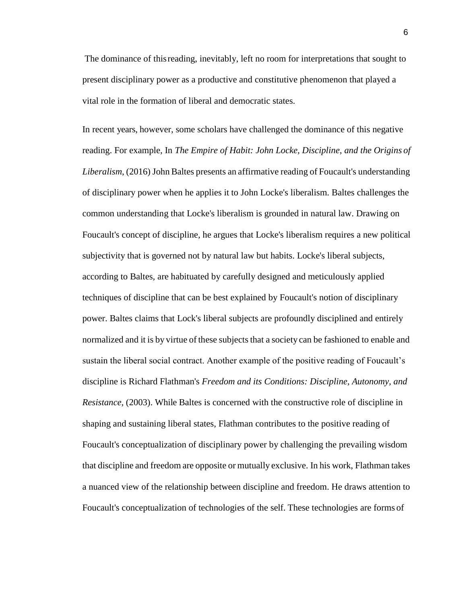The dominance of thisreading, inevitably, left no room for interpretations that sought to present disciplinary power as a productive and constitutive phenomenon that played a vital role in the formation of liberal and democratic states.

In recent years, however, some scholars have challenged the dominance of this negative reading. For example, In *The Empire of Habit: John Locke, Discipline, and the Origins of Liberalism*, (2016) John Baltes presents an affirmative reading of Foucault's understanding of disciplinary power when he applies it to John Locke's liberalism. Baltes challenges the common understanding that Locke's liberalism is grounded in natural law. Drawing on Foucault's concept of discipline, he argues that Locke's liberalism requires a new political subjectivity that is governed not by natural law but habits. Locke's liberal subjects, according to Baltes, are habituated by carefully designed and meticulously applied techniques of discipline that can be best explained by Foucault's notion of disciplinary power. Baltes claims that Lock's liberal subjects are profoundly disciplined and entirely normalized and it is by virtue of these subjects that a society can be fashioned to enable and sustain the liberal social contract. Another example of the positive reading of Foucault's discipline is Richard Flathman's *Freedom and its Conditions: Discipline, Autonomy, and Resistance*, (2003). While Baltes is concerned with the constructive role of discipline in shaping and sustaining liberal states, Flathman contributes to the positive reading of Foucault's conceptualization of disciplinary power by challenging the prevailing wisdom that discipline and freedom are opposite or mutually exclusive. In his work, Flathman takes a nuanced view of the relationship between discipline and freedom. He draws attention to Foucault's conceptualization of technologies of the self. These technologies are forms of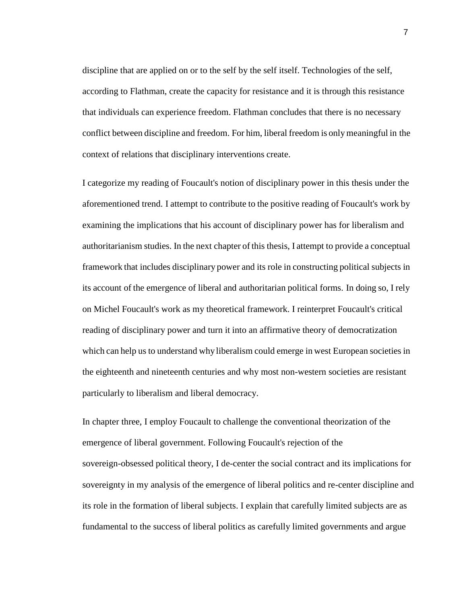discipline that are applied on or to the self by the self itself. Technologies of the self, according to Flathman, create the capacity for resistance and it is through this resistance that individuals can experience freedom. Flathman concludes that there is no necessary conflict between discipline and freedom. For him, liberal freedom is onlymeaningful in the context of relations that disciplinary interventions create.

I categorize my reading of Foucault's notion of disciplinary power in this thesis under the aforementioned trend. I attempt to contribute to the positive reading of Foucault's work by examining the implications that his account of disciplinary power has for liberalism and authoritarianism studies. In the next chapter of this thesis, I attempt to provide a conceptual framework that includes disciplinary power and its role in constructing political subjects in its account of the emergence of liberal and authoritarian political forms. In doing so, I rely on Michel Foucault's work as my theoretical framework. I reinterpret Foucault's critical reading of disciplinary power and turn it into an affirmative theory of democratization which can help us to understand why liberalism could emerge in west European societies in the eighteenth and nineteenth centuries and why most non-western societies are resistant particularly to liberalism and liberal democracy.

In chapter three, I employ Foucault to challenge the conventional theorization of the emergence of liberal government. Following Foucault's rejection of the sovereign-obsessed political theory, I de-center the social contract and its implications for sovereignty in my analysis of the emergence of liberal politics and re-center discipline and its role in the formation of liberal subjects. I explain that carefully limited subjects are as fundamental to the success of liberal politics as carefully limited governments and argue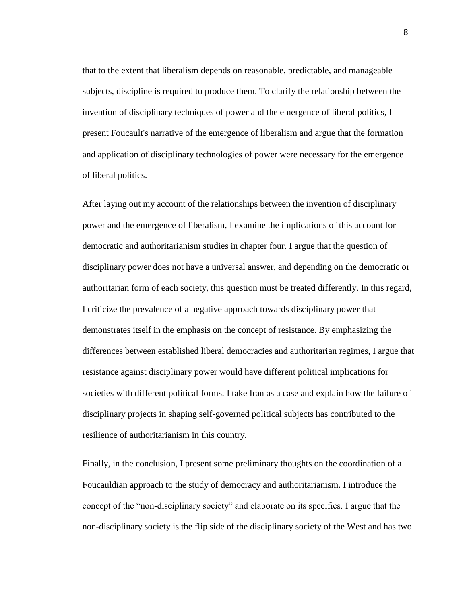that to the extent that liberalism depends on reasonable, predictable, and manageable subjects, discipline is required to produce them. To clarify the relationship between the invention of disciplinary techniques of power and the emergence of liberal politics, I present Foucault's narrative of the emergence of liberalism and argue that the formation and application of disciplinary technologies of power were necessary for the emergence of liberal politics.

After laying out my account of the relationships between the invention of disciplinary power and the emergence of liberalism, I examine the implications of this account for democratic and authoritarianism studies in chapter four. I argue that the question of disciplinary power does not have a universal answer, and depending on the democratic or authoritarian form of each society, this question must be treated differently. In this regard, I criticize the prevalence of a negative approach towards disciplinary power that demonstrates itself in the emphasis on the concept of resistance. By emphasizing the differences between established liberal democracies and authoritarian regimes, I argue that resistance against disciplinary power would have different political implications for societies with different political forms. I take Iran as a case and explain how the failure of disciplinary projects in shaping self-governed political subjects has contributed to the resilience of authoritarianism in this country.

Finally, in the conclusion, I present some preliminary thoughts on the coordination of a Foucauldian approach to the study of democracy and authoritarianism. I introduce the concept of the "non-disciplinary society" and elaborate on its specifics. I argue that the non-disciplinary society is the flip side of the disciplinary society of the West and has two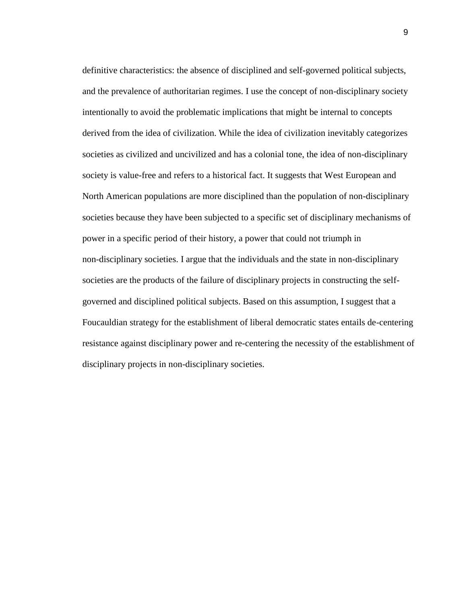definitive characteristics: the absence of disciplined and self-governed political subjects, and the prevalence of authoritarian regimes. I use the concept of non-disciplinary society intentionally to avoid the problematic implications that might be internal to concepts derived from the idea of civilization. While the idea of civilization inevitably categorizes societies as civilized and uncivilized and has a colonial tone, the idea of non-disciplinary society is value-free and refers to a historical fact. It suggests that West European and North American populations are more disciplined than the population of non-disciplinary societies because they have been subjected to a specific set of disciplinary mechanisms of power in a specific period of their history, a power that could not triumph in non-disciplinary societies. I argue that the individuals and the state in non-disciplinary societies are the products of the failure of disciplinary projects in constructing the selfgoverned and disciplined political subjects. Based on this assumption, I suggest that a Foucauldian strategy for the establishment of liberal democratic states entails de-centering resistance against disciplinary power and re-centering the necessity of the establishment of disciplinary projects in non-disciplinary societies.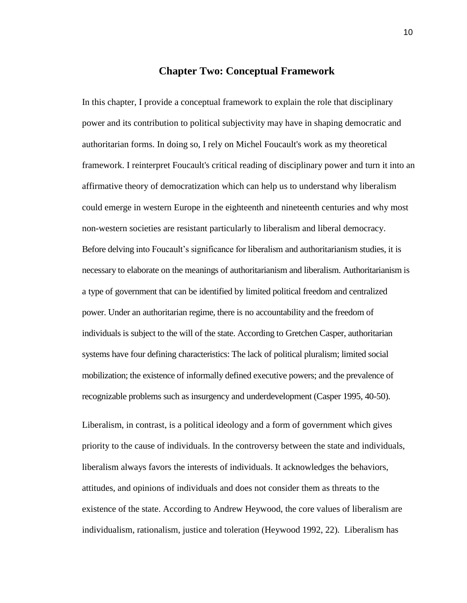## **Chapter Two: Conceptual Framework**

In this chapter, I provide a conceptual framework to explain the role that disciplinary power and its contribution to political subjectivity may have in shaping democratic and authoritarian forms. In doing so, I rely on Michel Foucault's work as my theoretical framework. I reinterpret Foucault's critical reading of disciplinary power and turn it into an affirmative theory of democratization which can help us to understand why liberalism could emerge in western Europe in the eighteenth and nineteenth centuries and why most non-western societies are resistant particularly to liberalism and liberal democracy. Before delving into Foucault's significance for liberalism and authoritarianism studies, it is necessary to elaborate on the meanings of authoritarianism and liberalism. Authoritarianism is a type of government that can be identified by limited political freedom and centralized power. Under an authoritarian regime, there is no accountability and the freedom of individuals is subject to the will of the state. According to Gretchen Casper, authoritarian systems have four defining characteristics: The lack of political pluralism; limited social mobilization; the existence of informally defined executive powers; and the prevalence of recognizable problems such as insurgency and underdevelopment (Casper 1995, 40-50).

Liberalism, in contrast, is a political ideology and a form of government which gives priority to the cause of individuals. In the controversy between the state and individuals, liberalism always favors the interests of individuals. It acknowledges the behaviors, attitudes, and opinions of individuals and does not consider them as threats to the existence of the state. According to Andrew Heywood, the core values of liberalism are individualism, rationalism, justice and toleration (Heywood 1992, 22). Liberalism has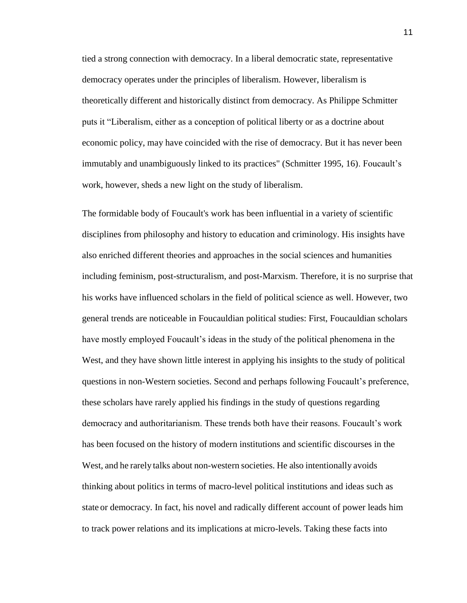tied a strong connection with democracy. In a liberal democratic state, representative democracy operates under the principles of liberalism. However, liberalism is theoretically different and historically distinct from democracy. As Philippe Schmitter puts it "Liberalism, either as a conception of political liberty or as a doctrine about economic policy, may have coincided with the rise of democracy. But it has never been immutably and unambiguously linked to its practices" (Schmitter 1995, 16). Foucault's work, however, sheds a new light on the study of liberalism.

The formidable body of Foucault's work has been influential in a variety of scientific disciplines from philosophy and history to education and criminology. His insights have also enriched different theories and approaches in the social sciences and humanities including feminism, post-structuralism, and post-Marxism. Therefore, it is no surprise that his works have influenced scholars in the field of political science as well. However, two general trends are noticeable in Foucauldian political studies: First, Foucauldian scholars have mostly employed Foucault's ideas in the study of the political phenomena in the West, and they have shown little interest in applying his insights to the study of political questions in non-Western societies. Second and perhaps following Foucault's preference, these scholars have rarely applied his findings in the study of questions regarding democracy and authoritarianism. These trends both have their reasons. Foucault's work has been focused on the history of modern institutions and scientific discourses in the West, and he rarely talks about non-western societies. He also intentionally avoids thinking about politics in terms of macro-level political institutions and ideas such as state or democracy. In fact, his novel and radically different account of power leads him to track power relations and its implications at micro-levels. Taking these facts into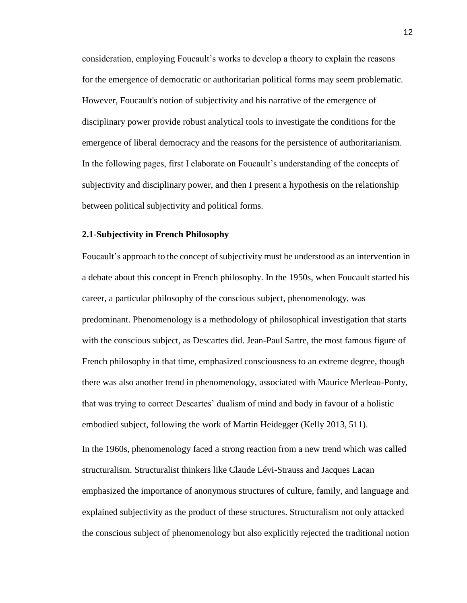consideration, employing Foucault's works to develop a theory to explain the reasons for the emergence of democratic or authoritarian political forms may seem problematic. However, Foucault's notion of subjectivity and his narrative of the emergence of disciplinary power provide robust analytical tools to investigate the conditions for the emergence of liberal democracy and the reasons for the persistence of authoritarianism. In the following pages, first I elaborate on Foucault's understanding of the concepts of subjectivity and disciplinary power, and then I present a hypothesis on the relationship between political subjectivity and political forms.

### **2.1**-**Subjectivity in French Philosophy**

Foucault's approach to the concept of subjectivity must be understood as an intervention in a debate about this concept in French philosophy. In the 1950s, when Foucault started his career, a particular philosophy of the conscious subject, phenomenology, was predominant. Phenomenology is a methodology of philosophical investigation that starts with the conscious subject, as Descartes did. Jean-Paul Sartre, the most famous figure of French philosophy in that time, emphasized consciousness to an extreme degree, though there was also another trend in phenomenology, associated with Maurice Merleau-Ponty, that was trying to correct Descartes' dualism of mind and body in favour of a holistic embodied subject, following the work of Martin Heidegger (Kelly 2013, 511).

In the 1960s, phenomenology faced a strong reaction from a new trend which was called structuralism. Structuralist thinkers like Claude Lévi-Strauss and Jacques Lacan emphasized the importance of anonymous structures of culture, family, and language and explained subjectivity as the product of these structures. Structuralism not only attacked the conscious subject of phenomenology but also explicitly rejected the traditional notion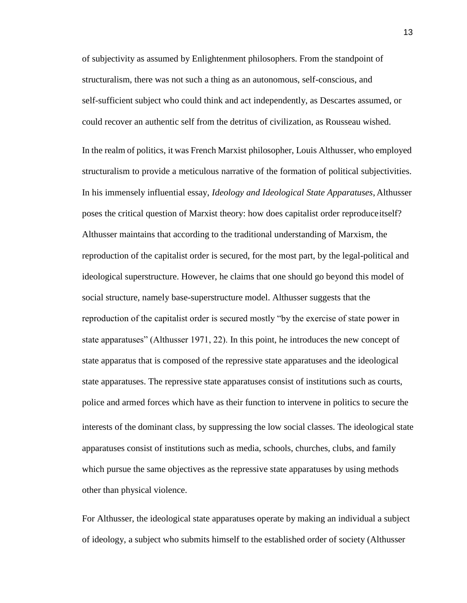of subjectivity as assumed by Enlightenment philosophers. From the standpoint of structuralism, there was not such a thing as an autonomous, self-conscious, and self-sufficient subject who could think and act independently, as Descartes assumed, or could recover an authentic self from the detritus of civilization, as Rousseau wished.

In the realm of politics, it was French Marxist philosopher, Louis Althusser, who employed structuralism to provide a meticulous narrative of the formation of political subjectivities. In his immensely influential essay, *Ideology and Ideological State Apparatuses*, Althusser poses the critical question of Marxist theory: how does capitalist order reproduceitself? Althusser maintains that according to the traditional understanding of Marxism, the reproduction of the capitalist order is secured, for the most part, by the legal-political and ideological superstructure. However, he claims that one should go beyond this model of social structure, namely base-superstructure model. Althusser suggests that the reproduction of the capitalist order is secured mostly "by the exercise of state power in state apparatuses" (Althusser 1971, 22). In this point, he introduces the new concept of state apparatus that is composed of the repressive state apparatuses and the ideological state apparatuses. The repressive state apparatuses consist of institutions such as courts, police and armed forces which have as their function to intervene in politics to secure the interests of the dominant class, by suppressing the low social classes. The ideological state apparatuses consist of institutions such as media, schools, churches, clubs, and family which pursue the same objectives as the repressive state apparatuses by using methods other than physical violence.

For Althusser, the ideological state apparatuses operate by making an individual a subject of ideology, a subject who submits himself to the established order of society (Althusser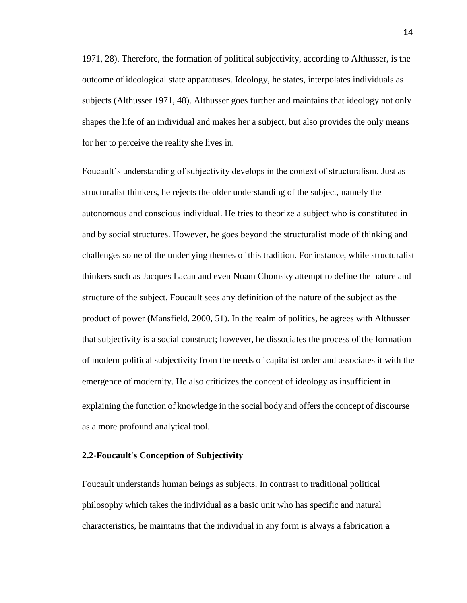1971, 28). Therefore, the formation of political subjectivity, according to Althusser, is the outcome of ideological state apparatuses. Ideology, he states, interpolates individuals as subjects (Althusser 1971, 48). Althusser goes further and maintains that ideology not only shapes the life of an individual and makes her a subject, but also provides the only means for her to perceive the reality she lives in.

Foucault's understanding of subjectivity develops in the context of structuralism. Just as structuralist thinkers, he rejects the older understanding of the subject, namely the autonomous and conscious individual. He tries to theorize a subject who is constituted in and by social structures. However, he goes beyond the structuralist mode of thinking and challenges some of the underlying themes of this tradition. For instance, while structuralist thinkers such as Jacques Lacan and even Noam Chomsky attempt to define the nature and structure of the subject, Foucault sees any definition of the nature of the subject as the product of power (Mansfield, 2000, 51). In the realm of politics, he agrees with Althusser that subjectivity is a social construct; however, he dissociates the process of the formation of modern political subjectivity from the needs of capitalist order and associates it with the emergence of modernity. He also criticizes the concept of ideology as insufficient in explaining the function of knowledge in the social body and offers the concept of discourse as a more profound analytical tool.

#### **2.2**-**Foucault's Conception of Subjectivity**

Foucault understands human beings as subjects. In contrast to traditional political philosophy which takes the individual as a basic unit who has specific and natural characteristics, he maintains that the individual in any form is always a fabrication a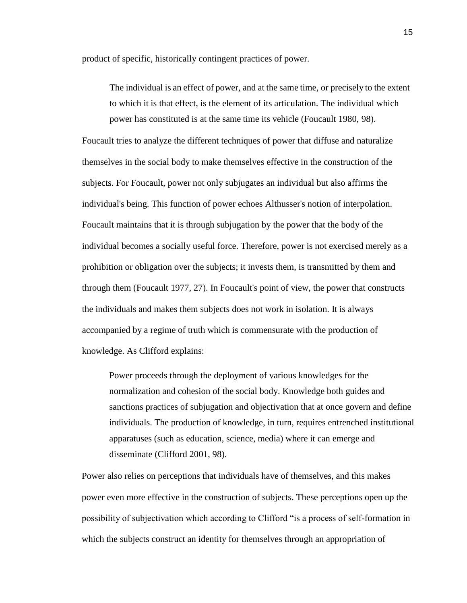product of specific, historically contingent practices of power.

The individual is an effect of power, and at the same time, or precisely to the extent to which it is that effect, is the element of its articulation. The individual which power has constituted is at the same time its vehicle (Foucault 1980, 98).

Foucault tries to analyze the different techniques of power that diffuse and naturalize themselves in the social body to make themselves effective in the construction of the subjects. For Foucault, power not only subjugates an individual but also affirms the individual's being. This function of power echoes Althusser's notion of interpolation. Foucault maintains that it is through subjugation by the power that the body of the individual becomes a socially useful force. Therefore, power is not exercised merely as a prohibition or obligation over the subjects; it invests them, is transmitted by them and through them (Foucault 1977, 27). In Foucault's point of view, the power that constructs the individuals and makes them subjects does not work in isolation. It is always accompanied by a regime of truth which is commensurate with the production of knowledge. As Clifford explains:

Power proceeds through the deployment of various knowledges for the normalization and cohesion of the social body. Knowledge both guides and sanctions practices of subjugation and objectivation that at once govern and define individuals. The production of knowledge, in turn, requires entrenched institutional apparatuses (such as education, science, media) where it can emerge and disseminate (Clifford 2001, 98).

Power also relies on perceptions that individuals have of themselves, and this makes power even more effective in the construction of subjects. These perceptions open up the possibility of subjectivation which according to Clifford "is a process of self-formation in which the subjects construct an identity for themselves through an appropriation of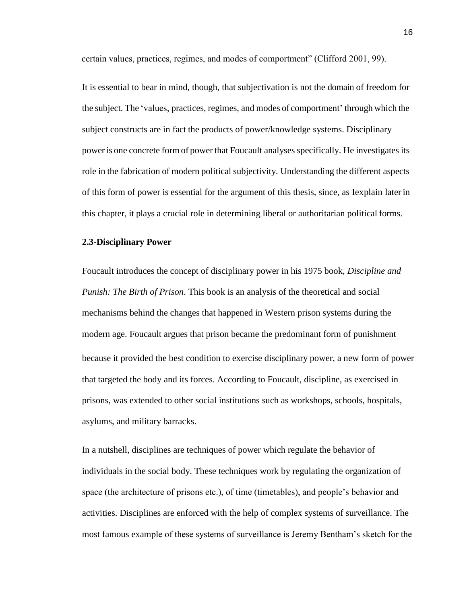certain values, practices, regimes, and modes of comportment" (Clifford 2001, 99).

It is essential to bear in mind, though, that subjectivation is not the domain of freedom for the subject. The 'values, practices, regimes, and modes of comportment' through which the subject constructs are in fact the products of power/knowledge systems. Disciplinary power is one concrete form of power that Foucault analyses specifically. He investigates its role in the fabrication of modern political subjectivity. Understanding the different aspects of this form of power is essential for the argument of this thesis, since, as Iexplain later in this chapter, it plays a crucial role in determining liberal or authoritarian political forms.

#### **2.3**-**Disciplinary Power**

Foucault introduces the concept of disciplinary power in his 1975 book, *Discipline and Punish: The Birth of Prison*. This book is an analysis of the theoretical and social mechanisms behind the changes that happened in Western prison systems during the modern age. Foucault argues that prison became the predominant form of punishment because it provided the best condition to exercise disciplinary power, a new form of power that targeted the body and its forces. According to Foucault, discipline, as exercised in prisons, was extended to other social institutions such as workshops, schools, hospitals, asylums, and military barracks.

In a nutshell, disciplines are techniques of power which regulate the behavior of individuals in the social body. These techniques work by regulating the organization of space (the architecture of prisons etc.), of time (timetables), and people's behavior and activities. Disciplines are enforced with the help of complex systems of surveillance. The most famous example of these systems of surveillance is Jeremy Bentham's sketch for the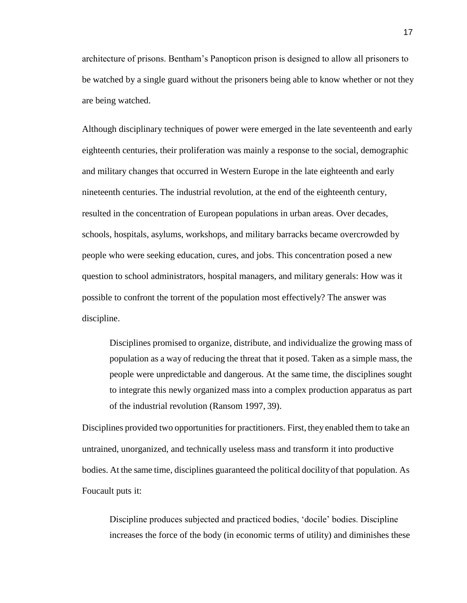architecture of prisons. Bentham's Panopticon prison is designed to allow all prisoners to be watched by a single guard without the prisoners being able to know whether or not they are being watched.

Although disciplinary techniques of power were emerged in the late seventeenth and early eighteenth centuries, their proliferation was mainly a response to the social, demographic and military changes that occurred in Western Europe in the late eighteenth and early nineteenth centuries. The industrial revolution, at the end of the eighteenth century, resulted in the concentration of European populations in urban areas. Over decades, schools, hospitals, asylums, workshops, and military barracks became overcrowded by people who were seeking education, cures, and jobs. This concentration posed a new question to school administrators, hospital managers, and military generals: How was it possible to confront the torrent of the population most effectively? The answer was discipline.

Disciplines promised to organize, distribute, and individualize the growing mass of population as a way of reducing the threat that it posed. Taken as a simple mass, the people were unpredictable and dangerous. At the same time, the disciplines sought to integrate this newly organized mass into a complex production apparatus as part of the industrial revolution (Ransom 1997, 39).

Disciplines provided two opportunities for practitioners. First, they enabled them to take an untrained, unorganized, and technically useless mass and transform it into productive bodies. At the same time, disciplines guaranteed the political docilityof that population. As Foucault puts it:

Discipline produces subjected and practiced bodies, 'docile' bodies. Discipline increases the force of the body (in economic terms of utility) and diminishes these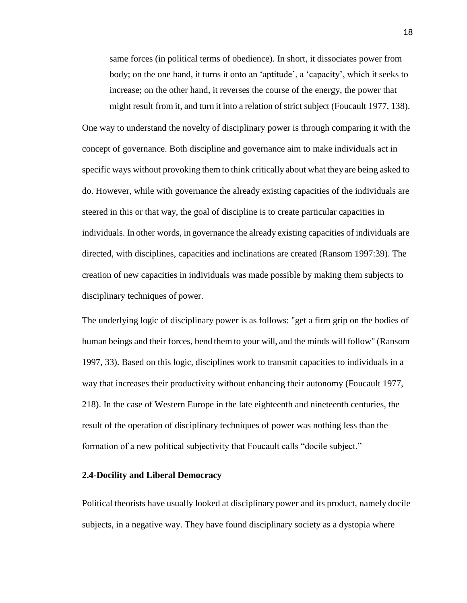same forces (in political terms of obedience). In short, it dissociates power from body; on the one hand, it turns it onto an 'aptitude', a 'capacity', which it seeks to increase; on the other hand, it reverses the course of the energy, the power that might result from it, and turn it into a relation of strict subject (Foucault 1977, 138).

One way to understand the novelty of disciplinary power is through comparing it with the concept of governance. Both discipline and governance aim to make individuals act in specific ways without provoking them to think critically about what they are being asked to do. However, while with governance the already existing capacities of the individuals are steered in this or that way, the goal of discipline is to create particular capacities in individuals. In other words, in governance the already existing capacities of individuals are directed, with disciplines, capacities and inclinations are created (Ransom 1997:39). The creation of new capacities in individuals was made possible by making them subjects to disciplinary techniques of power.

The underlying logic of disciplinary power is as follows: "get a firm grip on the bodies of human beings and their forces, bend them to your will, and the minds will follow" (Ransom 1997, 33). Based on this logic, disciplines work to transmit capacities to individuals in a way that increases their productivity without enhancing their autonomy (Foucault 1977, 218). In the case of Western Europe in the late eighteenth and nineteenth centuries, the result of the operation of disciplinary techniques of power was nothing less than the formation of a new political subjectivity that Foucault calls "docile subject."

### **2.4**-**Docility and Liberal Democracy**

Political theorists have usually looked at disciplinary power and its product, namely docile subjects, in a negative way. They have found disciplinary society as a dystopia where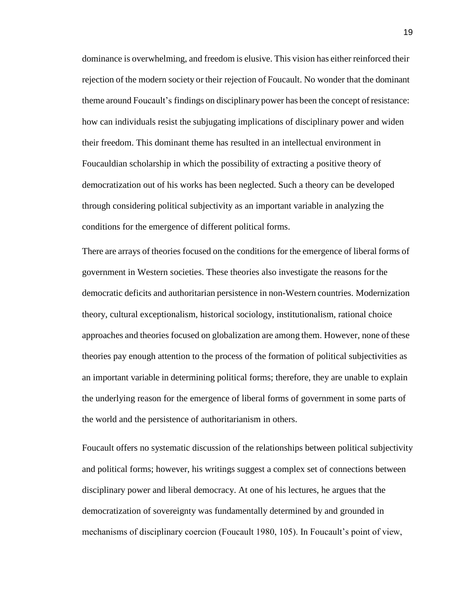dominance is overwhelming, and freedom is elusive. This vision has either reinforced their rejection of the modern society or their rejection of Foucault. No wonder that the dominant theme around Foucault's findings on disciplinary power has been the concept ofresistance: how can individuals resist the subjugating implications of disciplinary power and widen their freedom. This dominant theme has resulted in an intellectual environment in Foucauldian scholarship in which the possibility of extracting a positive theory of democratization out of his works has been neglected. Such a theory can be developed through considering political subjectivity as an important variable in analyzing the conditions for the emergence of different political forms.

There are arrays of theories focused on the conditions for the emergence of liberal forms of government in Western societies. These theories also investigate the reasons for the democratic deficits and authoritarian persistence in non-Western countries. Modernization theory, cultural exceptionalism, historical sociology, institutionalism, rational choice approaches and theories focused on globalization are among them. However, none of these theories pay enough attention to the process of the formation of political subjectivities as an important variable in determining political forms; therefore, they are unable to explain the underlying reason for the emergence of liberal forms of government in some parts of the world and the persistence of authoritarianism in others.

Foucault offers no systematic discussion of the relationships between political subjectivity and political forms; however, his writings suggest a complex set of connections between disciplinary power and liberal democracy. At one of his lectures, he argues that the democratization of sovereignty was fundamentally determined by and grounded in mechanisms of disciplinary coercion (Foucault 1980, 105). In Foucault's point of view,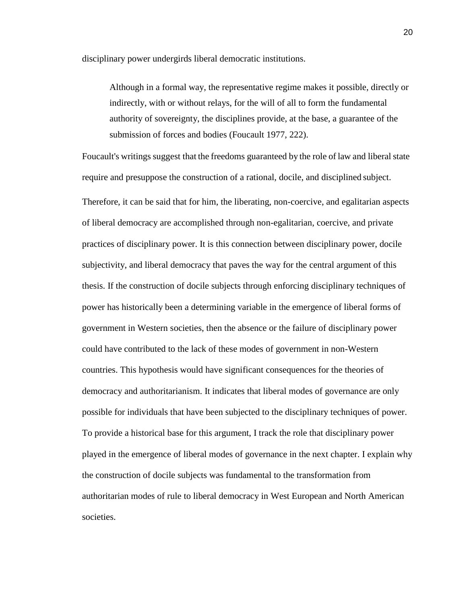disciplinary power undergirds liberal democratic institutions.

Although in a formal way, the representative regime makes it possible, directly or indirectly, with or without relays, for the will of all to form the fundamental authority of sovereignty, the disciplines provide, at the base, a guarantee of the submission of forces and bodies (Foucault 1977, 222).

Foucault's writings suggest that the freedoms guaranteed by the role of law and liberal state require and presuppose the construction of a rational, docile, and disciplined subject. Therefore, it can be said that for him, the liberating, non-coercive, and egalitarian aspects of liberal democracy are accomplished through non-egalitarian, coercive, and private practices of disciplinary power. It is this connection between disciplinary power, docile subjectivity, and liberal democracy that paves the way for the central argument of this thesis. If the construction of docile subjects through enforcing disciplinary techniques of power has historically been a determining variable in the emergence of liberal forms of government in Western societies, then the absence or the failure of disciplinary power could have contributed to the lack of these modes of government in non-Western countries. This hypothesis would have significant consequences for the theories of democracy and authoritarianism. It indicates that liberal modes of governance are only possible for individuals that have been subjected to the disciplinary techniques of power. To provide a historical base for this argument, I track the role that disciplinary power played in the emergence of liberal modes of governance in the next chapter. I explain why the construction of docile subjects was fundamental to the transformation from authoritarian modes of rule to liberal democracy in West European and North American societies.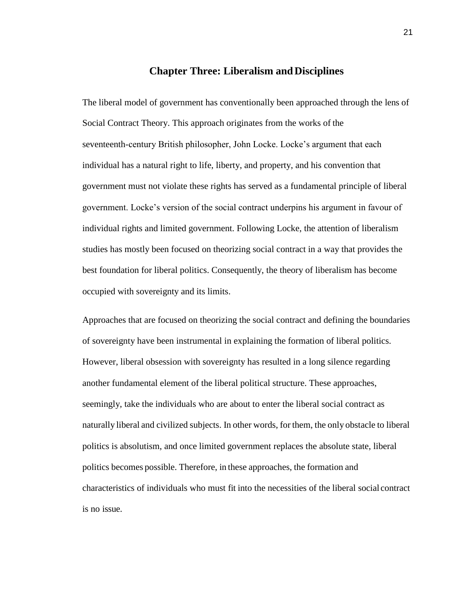## **Chapter Three: Liberalism and Disciplines**

The liberal model of government has conventionally been approached through the lens of Social Contract Theory. This approach originates from the works of the seventeenth-century British philosopher, John Locke. Locke's argument that each individual has a natural right to life, liberty, and property, and his convention that government must not violate these rights has served as a fundamental principle of liberal government. Locke's version of the social contract underpins his argument in favour of individual rights and limited government. Following Locke, the attention of liberalism studies has mostly been focused on theorizing social contract in a way that provides the best foundation for liberal politics. Consequently, the theory of liberalism has become occupied with sovereignty and its limits.

Approaches that are focused on theorizing the social contract and defining the boundaries of sovereignty have been instrumental in explaining the formation of liberal politics. However, liberal obsession with sovereignty has resulted in a long silence regarding another fundamental element of the liberal political structure. These approaches, seemingly, take the individuals who are about to enter the liberal social contract as naturally liberal and civilized subjects. In other words, for them, the only obstacle to liberal politics is absolutism, and once limited government replaces the absolute state, liberal politics becomes possible. Therefore, in these approaches, the formation and characteristics of individuals who must fit into the necessities of the liberal social contract is no issue.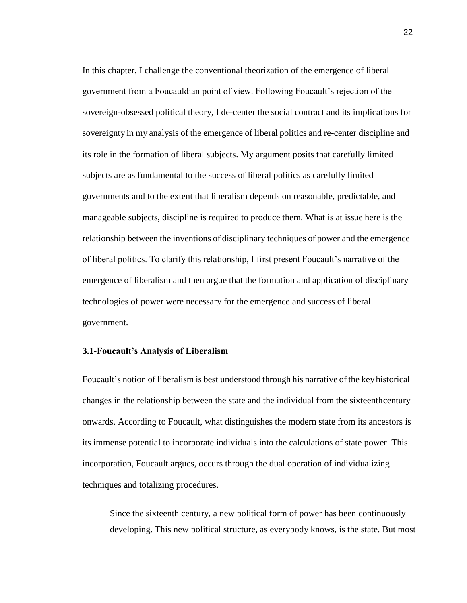In this chapter, I challenge the conventional theorization of the emergence of liberal government from a Foucauldian point of view. Following Foucault's rejection of the sovereign-obsessed political theory, I de-center the social contract and its implications for sovereignty in my analysis of the emergence of liberal politics and re-center discipline and its role in the formation of liberal subjects. My argument posits that carefully limited subjects are as fundamental to the success of liberal politics as carefully limited governments and to the extent that liberalism depends on reasonable, predictable, and manageable subjects, discipline is required to produce them. What is at issue here is the relationship between the inventions of disciplinary techniques of power and the emergence of liberal politics. To clarify this relationship, I first present Foucault's narrative of the emergence of liberalism and then argue that the formation and application of disciplinary technologies of power were necessary for the emergence and success of liberal government.

### **3.1**-**Foucault's Analysis of Liberalism**

Foucault's notion of liberalism is best understood through his narrative of the key historical changes in the relationship between the state and the individual from the sixteenthcentury onwards. According to Foucault, what distinguishes the modern state from its ancestors is its immense potential to incorporate individuals into the calculations of state power. This incorporation, Foucault argues, occurs through the dual operation of individualizing techniques and totalizing procedures.

Since the sixteenth century, a new political form of power has been continuously developing. This new political structure, as everybody knows, is the state. But most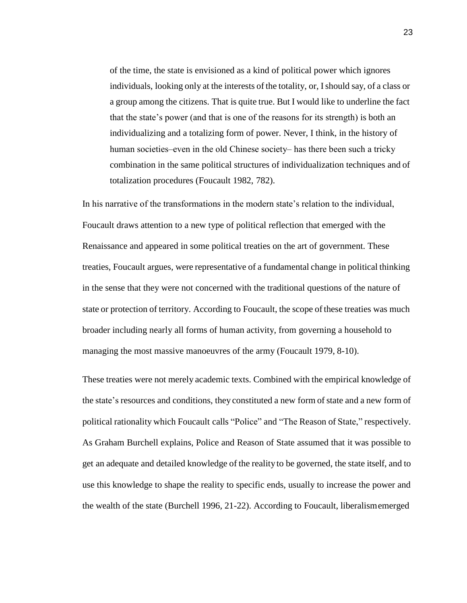of the time, the state is envisioned as a kind of political power which ignores individuals, looking only at the interests of the totality, or, Ishould say, of a class or a group among the citizens. That is quite true. But I would like to underline the fact that the state's power (and that is one of the reasons for its strength) is both an individualizing and a totalizing form of power. Never, I think, in the history of human societies—even in the old Chinese society— has there been such a tricky combination in the same political structures of individualization techniques and of totalization procedures (Foucault 1982, 782).

In his narrative of the transformations in the modern state's relation to the individual, Foucault draws attention to a new type of political reflection that emerged with the Renaissance and appeared in some political treaties on the art of government. These treaties, Foucault argues, were representative of a fundamental change in political thinking in the sense that they were not concerned with the traditional questions of the nature of state or protection of territory. According to Foucault, the scope ofthese treaties was much broader including nearly all forms of human activity, from governing a household to managing the most massive manoeuvres of the army (Foucault 1979, 8-10).

These treaties were not merely academic texts. Combined with the empirical knowledge of the state's resources and conditions, they constituted a new form of state and a new form of political rationality which Foucault calls "Police" and "The Reason of State," respectively. As Graham Burchell explains, Police and Reason of State assumed that it was possible to get an adequate and detailed knowledge of the reality to be governed, the state itself, and to use this knowledge to shape the reality to specific ends, usually to increase the power and the wealth of the state (Burchell 1996, 21-22). According to Foucault, liberalismemerged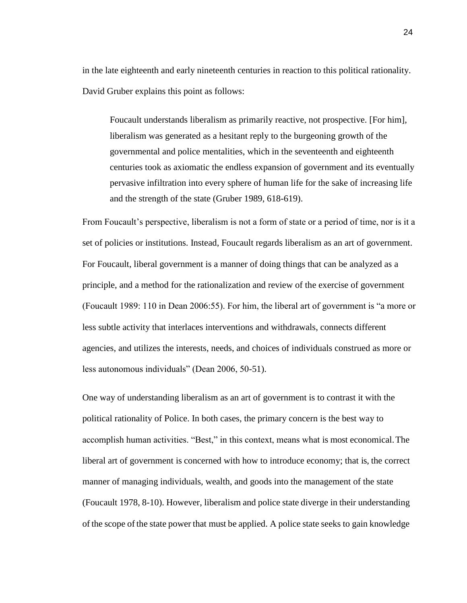in the late eighteenth and early nineteenth centuries in reaction to this political rationality. David Gruber explains this point as follows:

Foucault understands liberalism as primarily reactive, not prospective. [For him], liberalism was generated as a hesitant reply to the burgeoning growth of the governmental and police mentalities, which in the seventeenth and eighteenth centuries took as axiomatic the endless expansion of government and its eventually pervasive infiltration into every sphere of human life for the sake of increasing life and the strength of the state (Gruber 1989, 618-619).

From Foucault's perspective, liberalism is not a form of state or a period of time, nor is it a set of policies or institutions. Instead, Foucault regards liberalism as an art of government. For Foucault, liberal government is a manner of doing things that can be analyzed as a principle, and a method for the rationalization and review of the exercise of government (Foucault 1989: 110 in Dean 2006:55). For him, the liberal art of government is "a more or less subtle activity that interlaces interventions and withdrawals, connects different agencies, and utilizes the interests, needs, and choices of individuals construed as more or less autonomous individuals" (Dean 2006, 50-51).

One way of understanding liberalism as an art of government is to contrast it with the political rationality of Police. In both cases, the primary concern is the best way to accomplish human activities. "Best," in this context, means what is most economical.The liberal art of government is concerned with how to introduce economy; that is, the correct manner of managing individuals, wealth, and goods into the management of the state (Foucault 1978, 8-10). However, liberalism and police state diverge in their understanding of the scope of the state power that must be applied. A police state seeks to gain knowledge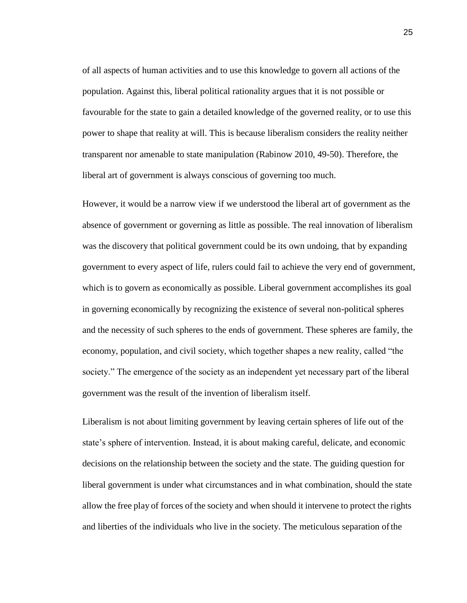of all aspects of human activities and to use this knowledge to govern all actions of the population. Against this, liberal political rationality argues that it is not possible or favourable for the state to gain a detailed knowledge of the governed reality, or to use this power to shape that reality at will. This is because liberalism considers the reality neither transparent nor amenable to state manipulation (Rabinow 2010, 49-50). Therefore, the liberal art of government is always conscious of governing too much.

However, it would be a narrow view if we understood the liberal art of government as the absence of government or governing as little as possible. The real innovation of liberalism was the discovery that political government could be its own undoing, that by expanding government to every aspect of life, rulers could fail to achieve the very end of government, which is to govern as economically as possible. Liberal government accomplishes its goal in governing economically by recognizing the existence of several non-political spheres and the necessity of such spheres to the ends of government. These spheres are family, the economy, population, and civil society, which together shapes a new reality, called "the society." The emergence of the society as an independent yet necessary part of the liberal government was the result of the invention of liberalism itself.

Liberalism is not about limiting government by leaving certain spheres of life out of the state's sphere of intervention. Instead, it is about making careful, delicate, and economic decisions on the relationship between the society and the state. The guiding question for liberal government is under what circumstances and in what combination, should the state allow the free play of forces of the society and when should it intervene to protect the rights and liberties of the individuals who live in the society. The meticulous separation ofthe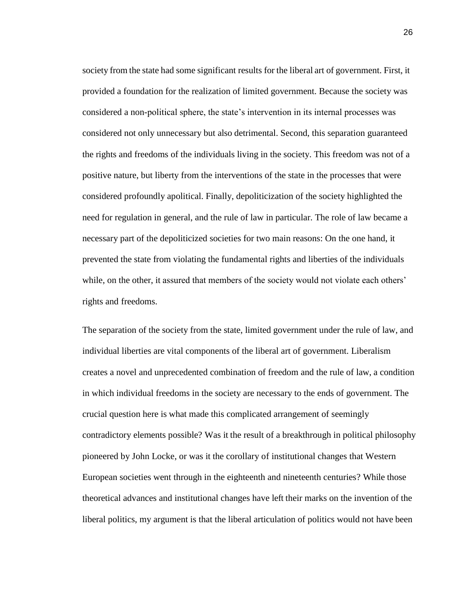society from the state had some significant results for the liberal art of government. First, it provided a foundation for the realization of limited government. Because the society was considered a non-political sphere, the state's intervention in its internal processes was considered not only unnecessary but also detrimental. Second, this separation guaranteed the rights and freedoms of the individuals living in the society. This freedom was not of a positive nature, but liberty from the interventions of the state in the processes that were considered profoundly apolitical. Finally, depoliticization of the society highlighted the need for regulation in general, and the rule of law in particular. The role of law became a necessary part of the depoliticized societies for two main reasons: On the one hand, it prevented the state from violating the fundamental rights and liberties of the individuals while, on the other, it assured that members of the society would not violate each others' rights and freedoms.

The separation of the society from the state, limited government under the rule of law, and individual liberties are vital components of the liberal art of government. Liberalism creates a novel and unprecedented combination of freedom and the rule of law, a condition in which individual freedoms in the society are necessary to the ends of government. The crucial question here is what made this complicated arrangement of seemingly contradictory elements possible? Was it the result of a breakthrough in political philosophy pioneered by John Locke, or was it the corollary of institutional changes that Western European societies went through in the eighteenth and nineteenth centuries? While those theoretical advances and institutional changes have left their marks on the invention of the liberal politics, my argument is that the liberal articulation of politics would not have been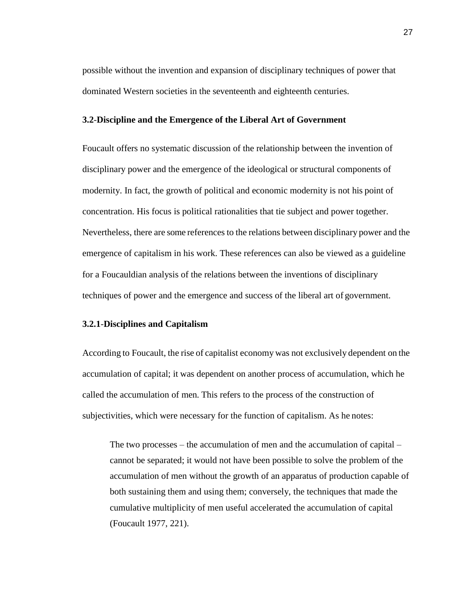possible without the invention and expansion of disciplinary techniques of power that dominated Western societies in the seventeenth and eighteenth centuries.

#### **3.2**-**Discipline and the Emergence of the Liberal Art of Government**

Foucault offers no systematic discussion of the relationship between the invention of disciplinary power and the emergence of the ideological or structural components of modernity. In fact, the growth of political and economic modernity is not his point of concentration. His focus is political rationalities that tie subject and power together. Nevertheless, there are some references to the relations between disciplinary power and the emergence of capitalism in his work. These references can also be viewed as a guideline for a Foucauldian analysis of the relations between the inventions of disciplinary techniques of power and the emergence and success of the liberal art of government.

#### **3.2.1**-**Disciplines and Capitalism**

According to Foucault, the rise of capitalist economy was not exclusively dependent on the accumulation of capital; it was dependent on another process of accumulation, which he called the accumulation of men. This refers to the process of the construction of subjectivities, which were necessary for the function of capitalism. As he notes:

The two processes – the accumulation of men and the accumulation of capital – cannot be separated; it would not have been possible to solve the problem of the accumulation of men without the growth of an apparatus of production capable of both sustaining them and using them; conversely, the techniques that made the cumulative multiplicity of men useful accelerated the accumulation of capital (Foucault 1977, 221).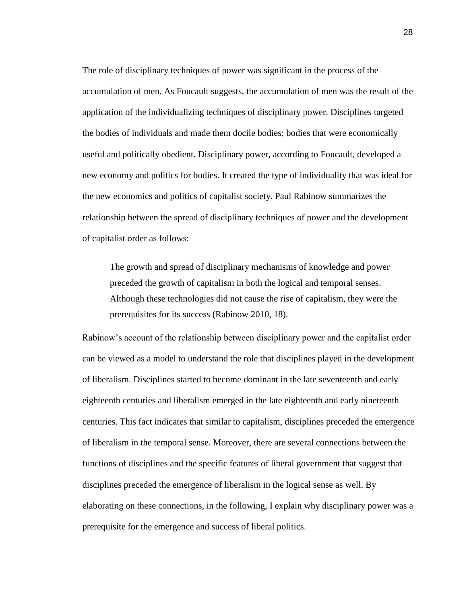The role of disciplinary techniques of power was significant in the process of the accumulation of men. As Foucault suggests, the accumulation of men was the result of the application of the individualizing techniques of disciplinary power. Disciplines targeted the bodies of individuals and made them docile bodies; bodies that were economically useful and politically obedient. Disciplinary power, according to Foucault, developed a new economy and politics for bodies. It created the type of individuality that was ideal for the new economics and politics of capitalist society. Paul Rabinow summarizes the relationship between the spread of disciplinary techniques of power and the development of capitalist order as follows:

The growth and spread of disciplinary mechanisms of knowledge and power preceded the growth of capitalism in both the logical and temporal senses. Although these technologies did not cause the rise of capitalism, they were the prerequisites for its success (Rabinow 2010, 18).

Rabinow's account of the relationship between disciplinary power and the capitalist order can be viewed as a model to understand the role that disciplines played in the development of liberalism. Disciplines started to become dominant in the late seventeenth and early eighteenth centuries and liberalism emerged in the late eighteenth and early nineteenth centuries. This fact indicates that similar to capitalism, disciplines preceded the emergence of liberalism in the temporal sense. Moreover, there are several connections between the functions of disciplines and the specific features of liberal government that suggest that disciplines preceded the emergence of liberalism in the logical sense as well. By elaborating on these connections, in the following, I explain why disciplinary power was a prerequisite for the emergence and success of liberal politics.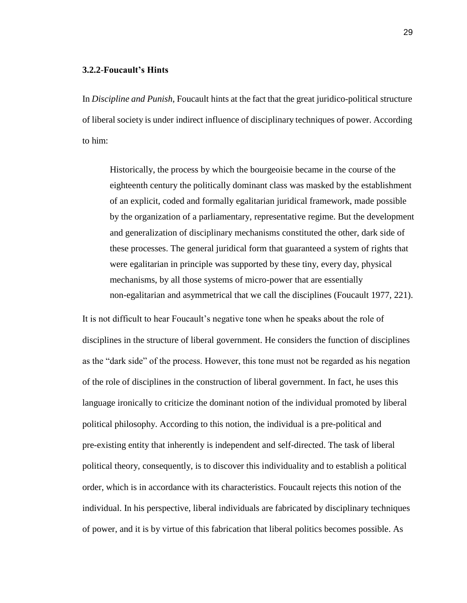#### **3.2.2**-**Foucault's Hints**

In *Discipline and Punish*, Foucault hints at the fact that the great juridico-political structure of liberal society is under indirect influence of disciplinary techniques of power. According to him:

Historically, the process by which the bourgeoisie became in the course of the eighteenth century the politically dominant class was masked by the establishment of an explicit, coded and formally egalitarian juridical framework, made possible by the organization of a parliamentary, representative regime. But the development and generalization of disciplinary mechanisms constituted the other, dark side of these processes. The general juridical form that guaranteed a system of rights that were egalitarian in principle was supported by these tiny, every day, physical mechanisms, by all those systems of micro-power that are essentially non-egalitarian and asymmetrical that we call the disciplines (Foucault 1977, 221).

It is not difficult to hear Foucault's negative tone when he speaks about the role of disciplines in the structure of liberal government. He considers the function of disciplines as the "dark side" of the process. However, this tone must not be regarded as his negation of the role of disciplines in the construction of liberal government. In fact, he uses this language ironically to criticize the dominant notion of the individual promoted by liberal political philosophy. According to this notion, the individual is a pre-political and pre-existing entity that inherently is independent and self-directed. The task of liberal political theory, consequently, is to discover this individuality and to establish a political order, which is in accordance with its characteristics. Foucault rejects this notion of the individual. In his perspective, liberal individuals are fabricated by disciplinary techniques of power, and it is by virtue of this fabrication that liberal politics becomes possible. As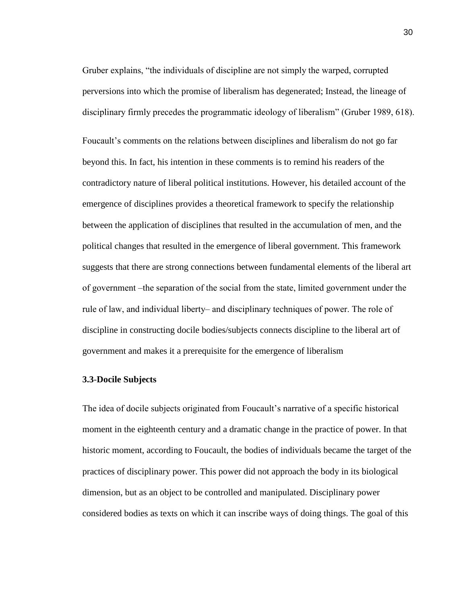Gruber explains, "the individuals of discipline are not simply the warped, corrupted perversions into which the promise of liberalism has degenerated; Instead, the lineage of disciplinary firmly precedes the programmatic ideology of liberalism" (Gruber 1989, 618).

Foucault's comments on the relations between disciplines and liberalism do not go far beyond this. In fact, his intention in these comments is to remind his readers of the contradictory nature of liberal political institutions. However, his detailed account of the emergence of disciplines provides a theoretical framework to specify the relationship between the application of disciplines that resulted in the accumulation of men, and the political changes that resulted in the emergence of liberal government. This framework suggests that there are strong connections between fundamental elements of the liberal art of government –the separation of the social from the state, limited government under the rule of law, and individual liberty– and disciplinary techniques of power. The role of discipline in constructing docile bodies/subjects connects discipline to the liberal art of government and makes it a prerequisite for the emergence of liberalism

#### **3.3**-**Docile Subjects**

The idea of docile subjects originated from Foucault's narrative of a specific historical moment in the eighteenth century and a dramatic change in the practice of power. In that historic moment, according to Foucault, the bodies of individuals became the target of the practices of disciplinary power. This power did not approach the body in its biological dimension, but as an object to be controlled and manipulated. Disciplinary power considered bodies as texts on which it can inscribe ways of doing things. The goal of this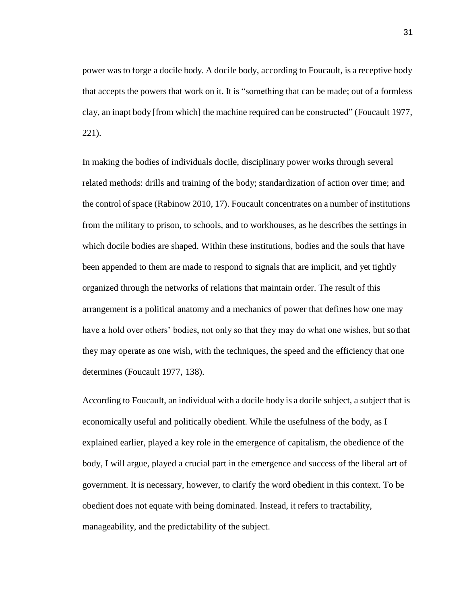power was to forge a docile body. A docile body, according to Foucault, is a receptive body that accepts the powers that work on it. It is "something that can be made; out of a formless clay, an inapt body [from which] the machine required can be constructed" (Foucault 1977, 221).

In making the bodies of individuals docile, disciplinary power works through several related methods: drills and training of the body; standardization of action over time; and the control of space (Rabinow 2010, 17). Foucault concentrates on a number of institutions from the military to prison, to schools, and to workhouses, as he describes the settings in which docile bodies are shaped. Within these institutions, bodies and the souls that have been appended to them are made to respond to signals that are implicit, and yet tightly organized through the networks of relations that maintain order. The result of this arrangement is a political anatomy and a mechanics of power that defines how one may have a hold over others' bodies, not only so that they may do what one wishes, but sothat they may operate as one wish, with the techniques, the speed and the efficiency that one determines (Foucault 1977, 138).

According to Foucault, an individual with a docile body is a docile subject, a subject that is economically useful and politically obedient. While the usefulness of the body, as I explained earlier, played a key role in the emergence of capitalism, the obedience of the body, I will argue, played a crucial part in the emergence and success of the liberal art of government. It is necessary, however, to clarify the word obedient in this context. To be obedient does not equate with being dominated. Instead, it refers to tractability, manageability, and the predictability of the subject.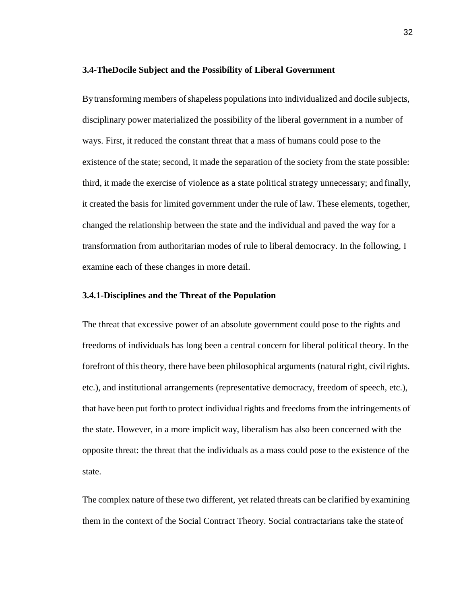#### **3.4**-**TheDocile Subject and the Possibility of Liberal Government**

By transforming members of shapeless populations into individualized and docile subjects, disciplinary power materialized the possibility of the liberal government in a number of ways. First, it reduced the constant threat that a mass of humans could pose to the existence of the state; second, it made the separation of the society from the state possible: third, it made the exercise of violence as a state political strategy unnecessary; and finally, it created the basis for limited government under the rule of law. These elements, together, changed the relationship between the state and the individual and paved the way for a transformation from authoritarian modes of rule to liberal democracy. In the following, I examine each of these changes in more detail.

#### **3.4.1**-**Disciplines and the Threat of the Population**

The threat that excessive power of an absolute government could pose to the rights and freedoms of individuals has long been a central concern for liberal political theory. In the forefront of this theory, there have been philosophical arguments (natural right, civil rights. etc.), and institutional arrangements (representative democracy, freedom of speech, etc.), that have been put forth to protect individual rights and freedoms from the infringements of the state. However, in a more implicit way, liberalism has also been concerned with the opposite threat: the threat that the individuals as a mass could pose to the existence of the state.

The complex nature of these two different, yet related threats can be clarified by examining them in the context of the Social Contract Theory. Social contractarians take the stateof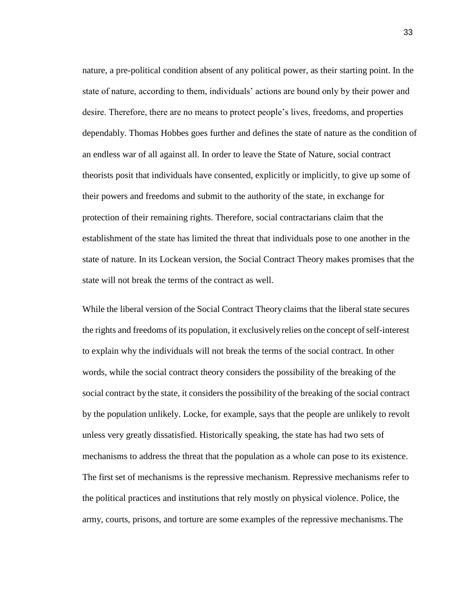nature, a pre-political condition absent of any political power, as their starting point. In the state of nature, according to them, individuals' actions are bound only by their power and desire. Therefore, there are no means to protect people's lives, freedoms, and properties dependably. Thomas Hobbes goes further and defines the state of nature as the condition of an endless war of all against all. In order to leave the State of Nature, social contract theorists posit that individuals have consented, explicitly or implicitly, to give up some of their powers and freedoms and submit to the authority of the state, in exchange for protection of their remaining rights. Therefore, social contractarians claim that the establishment of the state has limited the threat that individuals pose to one another in the state of nature. In its Lockean version, the Social Contract Theory makes promises that the state will not break the terms of the contract as well.

While the liberal version of the Social Contract Theory claims that the liberal state secures the rights and freedoms of its population, it exclusively relies on the concept of self-interest to explain why the individuals will not break the terms of the social contract. In other words, while the social contract theory considers the possibility of the breaking of the social contract by the state, it considers the possibility of the breaking of the social contract by the population unlikely. Locke, for example, says that the people are unlikely to revolt unless very greatly dissatisfied. Historically speaking, the state has had two sets of mechanisms to address the threat that the population as a whole can pose to its existence. The first set of mechanisms is the repressive mechanism. Repressive mechanisms refer to the political practices and institutions that rely mostly on physical violence. Police, the army, courts, prisons, and torture are some examples of the repressive mechanisms.The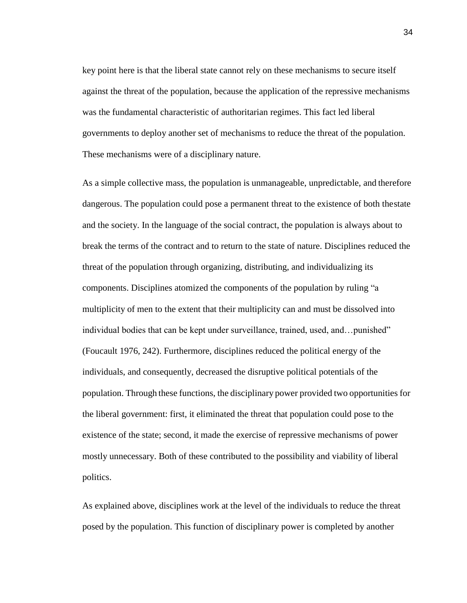key point here is that the liberal state cannot rely on these mechanisms to secure itself against the threat of the population, because the application of the repressive mechanisms was the fundamental characteristic of authoritarian regimes. This fact led liberal governments to deploy another set of mechanisms to reduce the threat of the population. These mechanisms were of a disciplinary nature.

As a simple collective mass, the population is unmanageable, unpredictable, and therefore dangerous. The population could pose a permanent threat to the existence of both thestate and the society. In the language of the social contract, the population is always about to break the terms of the contract and to return to the state of nature. Disciplines reduced the threat of the population through organizing, distributing, and individualizing its components. Disciplines atomized the components of the population by ruling "a multiplicity of men to the extent that their multiplicity can and must be dissolved into individual bodies that can be kept under surveillance, trained, used, and…punished" (Foucault 1976, 242). Furthermore, disciplines reduced the political energy of the individuals, and consequently, decreased the disruptive political potentials of the population. Through these functions, the disciplinary power provided two opportunities for the liberal government: first, it eliminated the threat that population could pose to the existence of the state; second, it made the exercise of repressive mechanisms of power mostly unnecessary. Both of these contributed to the possibility and viability of liberal politics.

As explained above, disciplines work at the level of the individuals to reduce the threat posed by the population. This function of disciplinary power is completed by another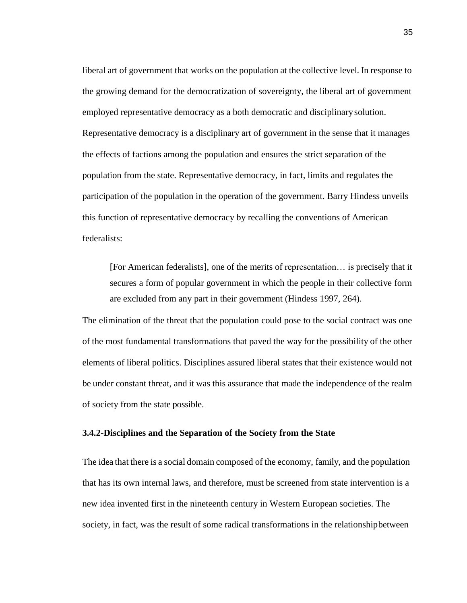liberal art of government that works on the population at the collective level. In response to the growing demand for the democratization of sovereignty, the liberal art of government employed representative democracy as a both democratic and disciplinarysolution. Representative democracy is a disciplinary art of government in the sense that it manages the effects of factions among the population and ensures the strict separation of the population from the state. Representative democracy, in fact, limits and regulates the participation of the population in the operation of the government. Barry Hindess unveils this function of representative democracy by recalling the conventions of American federalists:

[For American federalists], one of the merits of representation… is precisely that it secures a form of popular government in which the people in their collective form are excluded from any part in their government (Hindess 1997, 264).

The elimination of the threat that the population could pose to the social contract was one of the most fundamental transformations that paved the way for the possibility of the other elements of liberal politics. Disciplines assured liberal states that their existence would not be under constant threat, and it was this assurance that made the independence of the realm of society from the state possible.

# **3.4.2**-**Disciplines and the Separation of the Society from the State**

The idea that there is a social domain composed of the economy, family, and the population that has its own internal laws, and therefore, must be screened from state intervention is a new idea invented first in the nineteenth century in Western European societies. The society, in fact, was the result of some radical transformations in the relationshipbetween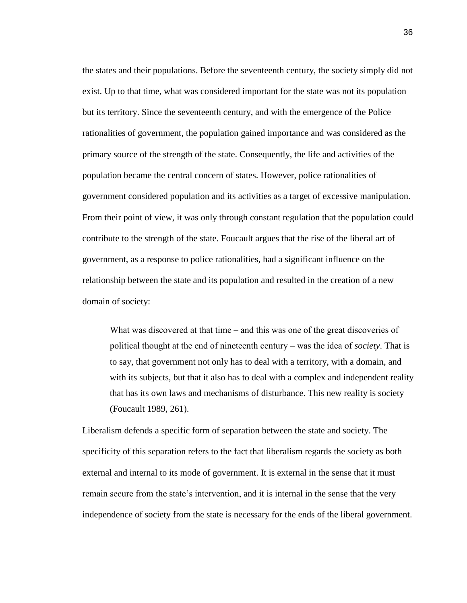the states and their populations. Before the seventeenth century, the society simply did not exist. Up to that time, what was considered important for the state was not its population but its territory. Since the seventeenth century, and with the emergence of the Police rationalities of government, the population gained importance and was considered as the primary source of the strength of the state. Consequently, the life and activities of the population became the central concern of states. However, police rationalities of government considered population and its activities as a target of excessive manipulation. From their point of view, it was only through constant regulation that the population could contribute to the strength of the state. Foucault argues that the rise of the liberal art of government, as a response to police rationalities, had a significant influence on the relationship between the state and its population and resulted in the creation of a new domain of society:

What was discovered at that time  $-$  and this was one of the great discoveries of political thought at the end of nineteenth century ‒ was the idea of *society*. That is to say, that government not only has to deal with a territory, with a domain, and with its subjects, but that it also has to deal with a complex and independent reality that has its own laws and mechanisms of disturbance. This new reality is society (Foucault 1989, 261).

Liberalism defends a specific form of separation between the state and society. The specificity of this separation refers to the fact that liberalism regards the society as both external and internal to its mode of government. It is external in the sense that it must remain secure from the state's intervention, and it is internal in the sense that the very independence of society from the state is necessary for the ends of the liberal government.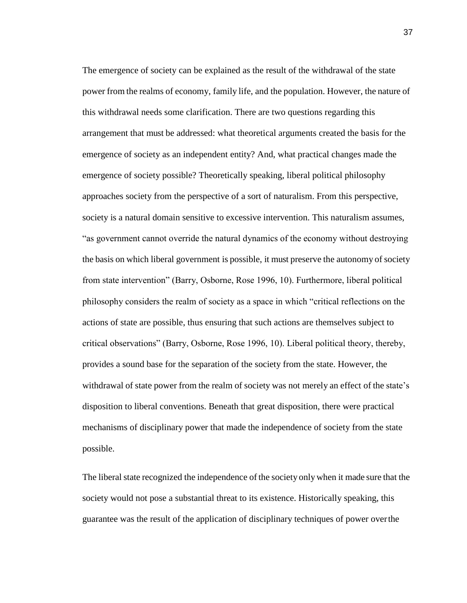The emergence of society can be explained as the result of the withdrawal of the state power from the realms of economy, family life, and the population. However, the nature of this withdrawal needs some clarification. There are two questions regarding this arrangement that must be addressed: what theoretical arguments created the basis for the emergence of society as an independent entity? And, what practical changes made the emergence of society possible? Theoretically speaking, liberal political philosophy approaches society from the perspective of a sort of naturalism. From this perspective, society is a natural domain sensitive to excessive intervention. This naturalism assumes, "as government cannot override the natural dynamics of the economy without destroying the basis on which liberal government is possible, it must preserve the autonomy of society from state intervention" (Barry, Osborne, Rose 1996, 10). Furthermore, liberal political philosophy considers the realm of society as a space in which "critical reflections on the actions of state are possible, thus ensuring that such actions are themselves subject to critical observations" (Barry, Osborne, Rose 1996, 10). Liberal political theory, thereby, provides a sound base for the separation of the society from the state. However, the withdrawal of state power from the realm of society was not merely an effect of the state's disposition to liberal conventions. Beneath that great disposition, there were practical mechanisms of disciplinary power that made the independence of society from the state possible.

The liberal state recognized the independence of the society only when it made sure that the society would not pose a substantial threat to its existence. Historically speaking, this guarantee was the result of the application of disciplinary techniques of power overthe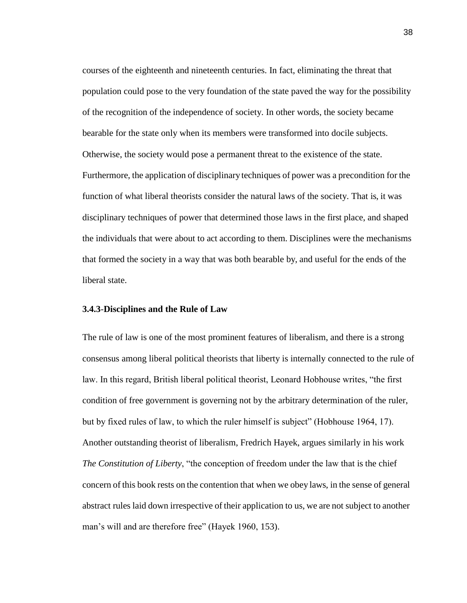courses of the eighteenth and nineteenth centuries. In fact, eliminating the threat that population could pose to the very foundation of the state paved the way for the possibility of the recognition of the independence of society. In other words, the society became bearable for the state only when its members were transformed into docile subjects. Otherwise, the society would pose a permanent threat to the existence of the state. Furthermore, the application of disciplinary techniques of power was a precondition for the function of what liberal theorists consider the natural laws of the society. That is, it was disciplinary techniques of power that determined those laws in the first place, and shaped the individuals that were about to act according to them. Disciplines were the mechanisms that formed the society in a way that was both bearable by, and useful for the ends of the liberal state.

### **3.4.3**-**Disciplines and the Rule of Law**

The rule of law is one of the most prominent features of liberalism, and there is a strong consensus among liberal political theorists that liberty is internally connected to the rule of law. In this regard, British liberal political theorist, Leonard Hobhouse writes, "the first condition of free government is governing not by the arbitrary determination of the ruler, but by fixed rules of law, to which the ruler himself is subject" (Hobhouse 1964, 17). Another outstanding theorist of liberalism, Fredrich Hayek, argues similarly in his work *The Constitution of Liberty*, "the conception of freedom under the law that is the chief concern of this book rests on the contention that when we obey laws, in the sense of general abstract rules laid down irrespective of their application to us, we are not subject to another man's will and are therefore free" (Hayek 1960, 153).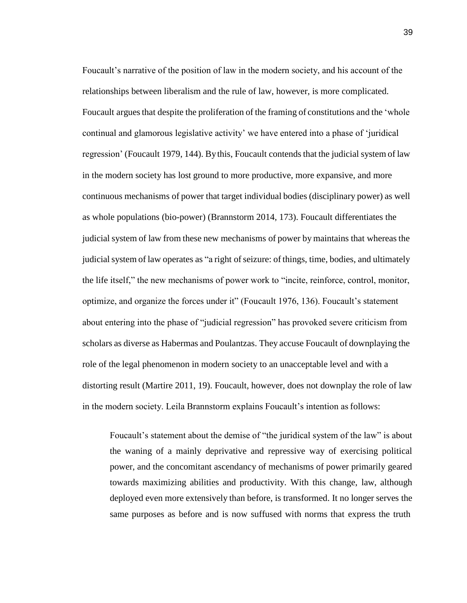Foucault's narrative of the position of law in the modern society, and his account of the relationships between liberalism and the rule of law, however, is more complicated. Foucault argues that despite the proliferation of the framing of constitutions and the 'whole continual and glamorous legislative activity' we have entered into a phase of 'juridical regression' (Foucault 1979, 144). By this, Foucault contends that the judicial system of law in the modern society has lost ground to more productive, more expansive, and more continuous mechanisms of power that target individual bodies (disciplinary power) as well as whole populations (bio-power) (Brannstorm 2014, 173). Foucault differentiates the judicial system of law from these new mechanisms of power by maintains that whereas the judicial system of law operates as "a right of seizure: of things, time, bodies, and ultimately the life itself," the new mechanisms of power work to "incite, reinforce, control, monitor, optimize, and organize the forces under it" (Foucault 1976, 136). Foucault's statement about entering into the phase of "judicial regression" has provoked severe criticism from scholars as diverse as Habermas and Poulantzas. They accuse Foucault of downplaying the role of the legal phenomenon in modern society to an unacceptable level and with a distorting result (Martire 2011, 19). Foucault, however, does not downplay the role of law in the modern society. Leila Brannstorm explains Foucault's intention as follows:

Foucault's statement about the demise of "the juridical system of the law" is about the waning of a mainly deprivative and repressive way of exercising political power, and the concomitant ascendancy of mechanisms of power primarily geared towards maximizing abilities and productivity. With this change, law, although deployed even more extensively than before, is transformed. It no longer serves the same purposes as before and is now suffused with norms that express the truth

39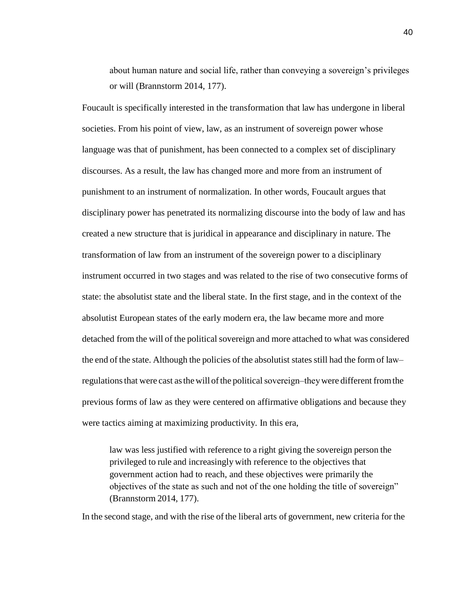about human nature and social life, rather than conveying a sovereign's privileges or will (Brannstorm 2014, 177).

Foucault is specifically interested in the transformation that law has undergone in liberal societies. From his point of view, law, as an instrument of sovereign power whose language was that of punishment, has been connected to a complex set of disciplinary discourses. As a result, the law has changed more and more from an instrument of punishment to an instrument of normalization. In other words, Foucault argues that disciplinary power has penetrated its normalizing discourse into the body of law and has created a new structure that is juridical in appearance and disciplinary in nature. The transformation of law from an instrument of the sovereign power to a disciplinary instrument occurred in two stages and was related to the rise of two consecutive forms of state: the absolutist state and the liberal state. In the first stage, and in the context of the absolutist European states of the early modern era, the law became more and more detached from the will of the political sovereign and more attached to what was considered the end of the state. Although the policies of the absolutist states still had the form of law regulations that were cast as the will of the political sovereign—they were different from the previous forms of law as they were centered on affirmative obligations and because they were tactics aiming at maximizing productivity. In this era,

law was less justified with reference to a right giving the sovereign person the privileged to rule and increasingly with reference to the objectives that government action had to reach, and these objectives were primarily the objectives of the state as such and not of the one holding the title of sovereign" (Brannstorm 2014, 177).

In the second stage, and with the rise of the liberal arts of government, new criteria for the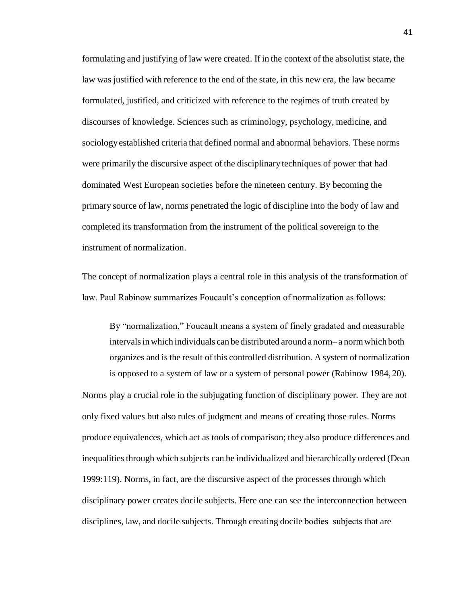formulating and justifying of law were created. If in the context of the absolutist state, the law was justified with reference to the end of the state, in this new era, the law became formulated, justified, and criticized with reference to the regimes of truth created by discourses of knowledge. Sciences such as criminology, psychology, medicine, and sociology established criteria that defined normal and abnormal behaviors. These norms were primarily the discursive aspect of the disciplinary techniques of power that had dominated West European societies before the nineteen century. By becoming the primary source of law, norms penetrated the logic of discipline into the body of law and completed its transformation from the instrument of the political sovereign to the instrument of normalization.

The concept of normalization plays a central role in this analysis of the transformation of law. Paul Rabinow summarizes Foucault's conception of normalization as follows:

By "normalization," Foucault means a system of finely gradated and measurable intervals in which individuals can be distributed around a norm—a norm which both organizes and isthe result of this controlled distribution. A system of normalization is opposed to a system of law or a system of personal power (Rabinow 1984, 20).

Norms play a crucial role in the subjugating function of disciplinary power. They are not only fixed values but also rules of judgment and means of creating those rules. Norms produce equivalences, which act as tools of comparison; they also produce differences and inequalities through which subjects can be individualized and hierarchically ordered (Dean 1999:119). Norms, in fact, are the discursive aspect of the processes through which disciplinary power creates docile subjects. Here one can see the interconnection between disciplines, law, and docile subjects. Through creating docile bodies-subjects that are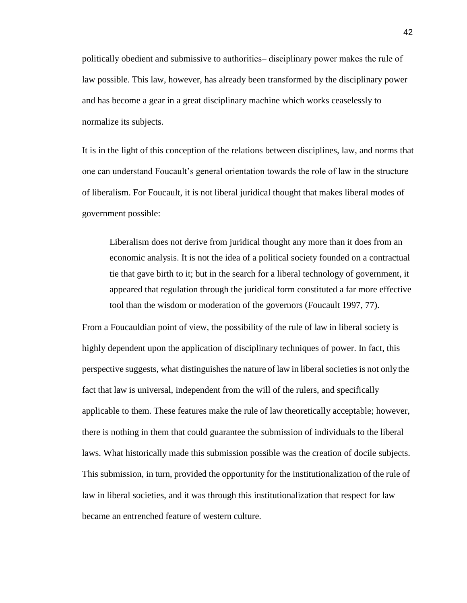politically obedient and submissive to authorities—disciplinary power makes the rule of law possible. This law, however, has already been transformed by the disciplinary power and has become a gear in a great disciplinary machine which works ceaselessly to normalize its subjects.

It is in the light of this conception of the relations between disciplines, law, and norms that one can understand Foucault's general orientation towards the role of law in the structure of liberalism. For Foucault, it is not liberal juridical thought that makes liberal modes of government possible:

Liberalism does not derive from juridical thought any more than it does from an economic analysis. It is not the idea of a political society founded on a contractual tie that gave birth to it; but in the search for a liberal technology of government, it appeared that regulation through the juridical form constituted a far more effective tool than the wisdom or moderation of the governors (Foucault 1997, 77).

From a Foucauldian point of view, the possibility of the rule of law in liberal society is highly dependent upon the application of disciplinary techniques of power. In fact, this perspective suggests, what distinguishes the nature of law in liberal societies is not only the fact that law is universal, independent from the will of the rulers, and specifically applicable to them. These features make the rule of law theoretically acceptable; however, there is nothing in them that could guarantee the submission of individuals to the liberal laws. What historically made this submission possible was the creation of docile subjects. This submission, in turn, provided the opportunity for the institutionalization of the rule of law in liberal societies, and it was through this institutionalization that respect for law became an entrenched feature of western culture.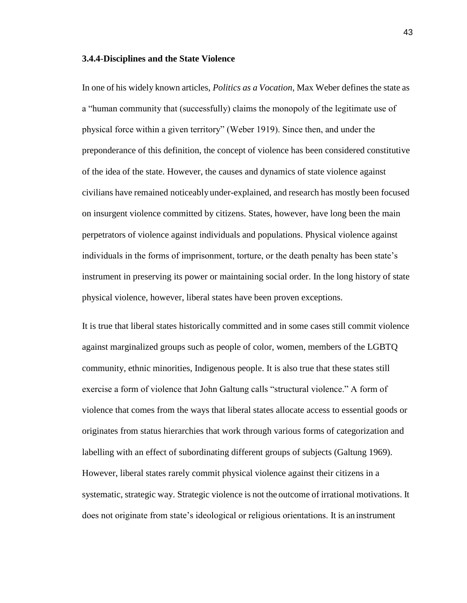### **3.4.4**-**Disciplines and the State Violence**

In one of his widely known articles, *Politics as a Vocation*, Max Weber defines the state as a "human community that (successfully) claims the monopoly of the legitimate use of physical force within a given territory" (Weber 1919). Since then, and under the preponderance of this definition, the concept of violence has been considered constitutive of the idea of the state. However, the causes and dynamics of state violence against civilians have remained noticeably under-explained, and research has mostly been focused on insurgent violence committed by citizens. States, however, have long been the main perpetrators of violence against individuals and populations. Physical violence against individuals in the forms of imprisonment, torture, or the death penalty has been state's instrument in preserving its power or maintaining social order. In the long history of state physical violence, however, liberal states have been proven exceptions.

It is true that liberal states historically committed and in some cases still commit violence against marginalized groups such as people of color, women, members of the LGBTQ community, ethnic minorities, Indigenous people. It is also true that these states still exercise a form of violence that John Galtung calls "structural violence." A form of violence that comes from the ways that liberal states allocate access to essential goods or originates from status hierarchies that work through various forms of categorization and labelling with an effect of subordinating different groups of subjects (Galtung 1969). However, liberal states rarely commit physical violence against their citizens in a systematic, strategic way. Strategic violence is not the outcome of irrational motivations. It does not originate from state's ideological or religious orientations. It is an instrument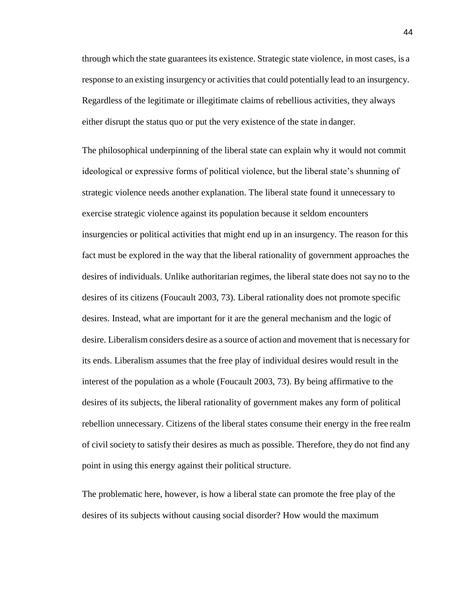through which the state guarantees its existence. Strategic state violence, in most cases, is a response to an existing insurgency or activitiesthat could potentially lead to an insurgency. Regardless of the legitimate or illegitimate claims of rebellious activities, they always either disrupt the status quo or put the very existence of the state in danger.

The philosophical underpinning of the liberal state can explain why it would not commit ideological or expressive forms of political violence, but the liberal state's shunning of strategic violence needs another explanation. The liberal state found it unnecessary to exercise strategic violence against its population because it seldom encounters insurgencies or political activities that might end up in an insurgency. The reason for this fact must be explored in the way that the liberal rationality of government approaches the desires of individuals. Unlike authoritarian regimes, the liberal state does not say no to the desires of its citizens (Foucault 2003, 73). Liberal rationality does not promote specific desires. Instead, what are important for it are the general mechanism and the logic of desire. Liberalism considers desire as a source of action and movement that is necessary for its ends. Liberalism assumes that the free play of individual desires would result in the interest of the population as a whole (Foucault 2003, 73). By being affirmative to the desires of its subjects, the liberal rationality of government makes any form of political rebellion unnecessary. Citizens of the liberal states consume their energy in the free realm of civil society to satisfy their desires as much as possible. Therefore, they do not find any point in using this energy against their political structure.

The problematic here, however, is how a liberal state can promote the free play of the desires of its subjects without causing social disorder? How would the maximum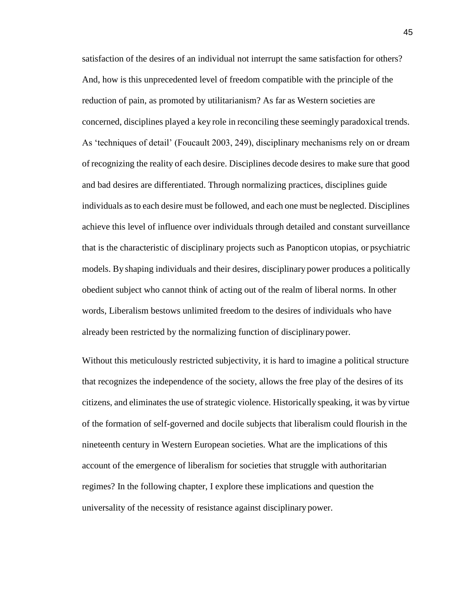satisfaction of the desires of an individual not interrupt the same satisfaction for others? And, how is this unprecedented level of freedom compatible with the principle of the reduction of pain, as promoted by utilitarianism? As far as Western societies are concerned, disciplines played a key role in reconciling these seemingly paradoxical trends. As 'techniques of detail' (Foucault 2003, 249), disciplinary mechanisms rely on or dream of recognizing the reality of each desire. Disciplines decode desires to make sure that good and bad desires are differentiated. Through normalizing practices, disciplines guide individuals asto each desire must be followed, and each one must be neglected. Disciplines achieve this level of influence over individuals through detailed and constant surveillance that is the characteristic of disciplinary projects such as Panopticon utopias, or psychiatric models. By shaping individuals and their desires, disciplinary power produces a politically obedient subject who cannot think of acting out of the realm of liberal norms. In other words, Liberalism bestows unlimited freedom to the desires of individuals who have already been restricted by the normalizing function of disciplinarypower.

Without this meticulously restricted subjectivity, it is hard to imagine a political structure that recognizes the independence of the society, allows the free play of the desires of its citizens, and eliminates the use of strategic violence. Historically speaking, it was by virtue of the formation of self-governed and docile subjects that liberalism could flourish in the nineteenth century in Western European societies. What are the implications of this account of the emergence of liberalism for societies that struggle with authoritarian regimes? In the following chapter, I explore these implications and question the universality of the necessity of resistance against disciplinary power.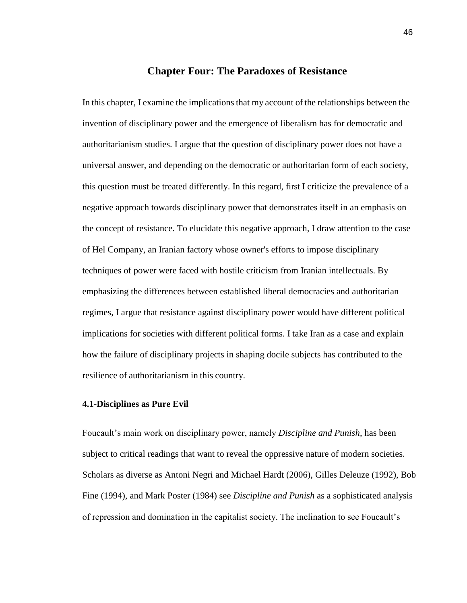# **Chapter Four: The Paradoxes of Resistance**

In this chapter, I examine the implications that my account of the relationships between the invention of disciplinary power and the emergence of liberalism has for democratic and authoritarianism studies. I argue that the question of disciplinary power does not have a universal answer, and depending on the democratic or authoritarian form of each society, this question must be treated differently. In this regard, first I criticize the prevalence of a negative approach towards disciplinary power that demonstrates itself in an emphasis on the concept of resistance. To elucidate this negative approach, I draw attention to the case of Hel Company, an Iranian factory whose owner's efforts to impose disciplinary techniques of power were faced with hostile criticism from Iranian intellectuals. By emphasizing the differences between established liberal democracies and authoritarian regimes, I argue that resistance against disciplinary power would have different political implications for societies with different political forms. I take Iran as a case and explain how the failure of disciplinary projects in shaping docile subjects has contributed to the resilience of authoritarianism in this country.

# **4.1**-**Disciplines as Pure Evil**

Foucault's main work on disciplinary power, namely *Discipline and Punish*, has been subject to critical readings that want to reveal the oppressive nature of modern societies. Scholars as diverse as Antoni Negri and Michael Hardt (2006), Gilles Deleuze (1992), Bob Fine (1994), and Mark Poster (1984) see *Discipline and Punish* as a sophisticated analysis of repression and domination in the capitalist society. The inclination to see Foucault's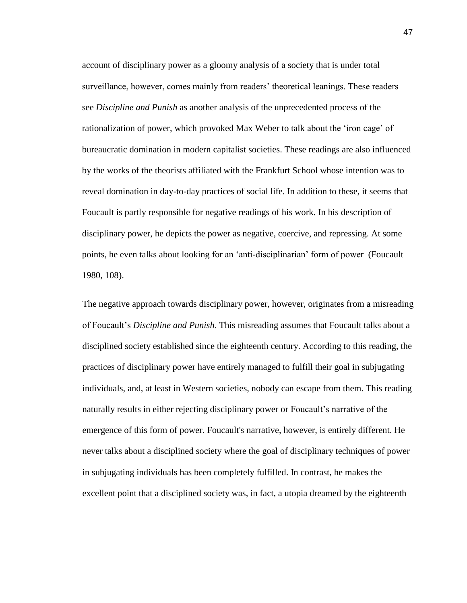account of disciplinary power as a gloomy analysis of a society that is under total surveillance, however, comes mainly from readers' theoretical leanings. These readers see *Discipline and Punish* as another analysis of the unprecedented process of the rationalization of power, which provoked Max Weber to talk about the 'iron cage' of bureaucratic domination in modern capitalist societies. These readings are also influenced by the works of the theorists affiliated with the Frankfurt School whose intention was to reveal domination in day-to-day practices of social life. In addition to these, it seems that Foucault is partly responsible for negative readings of his work. In his description of disciplinary power, he depicts the power as negative, coercive, and repressing. At some points, he even talks about looking for an 'anti-disciplinarian' form of power (Foucault 1980, 108).

The negative approach towards disciplinary power, however, originates from a misreading of Foucault's *Discipline and Punish*. This misreading assumes that Foucault talks about a disciplined society established since the eighteenth century. According to this reading, the practices of disciplinary power have entirely managed to fulfill their goal in subjugating individuals, and, at least in Western societies, nobody can escape from them. This reading naturally results in either rejecting disciplinary power or Foucault's narrative of the emergence of this form of power. Foucault's narrative, however, is entirely different. He never talks about a disciplined society where the goal of disciplinary techniques of power in subjugating individuals has been completely fulfilled. In contrast, he makes the excellent point that a disciplined society was, in fact, a utopia dreamed by the eighteenth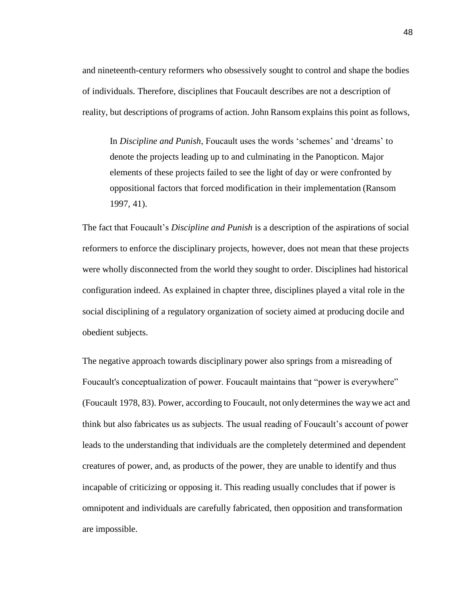and nineteenth-century reformers who obsessively sought to control and shape the bodies of individuals. Therefore, disciplines that Foucault describes are not a description of reality, but descriptions of programs of action. John Ransom explains this point asfollows,

In *Discipline and Punish*, Foucault uses the words 'schemes' and 'dreams' to denote the projects leading up to and culminating in the Panopticon. Major elements of these projects failed to see the light of day or were confronted by oppositional factors that forced modification in their implementation (Ransom 1997, 41).

The fact that Foucault's *Discipline and Punish* is a description of the aspirations of social reformers to enforce the disciplinary projects, however, does not mean that these projects were wholly disconnected from the world they sought to order. Disciplines had historical configuration indeed. As explained in chapter three, disciplines played a vital role in the social disciplining of a regulatory organization of society aimed at producing docile and obedient subjects.

The negative approach towards disciplinary power also springs from a misreading of Foucault's conceptualization of power. Foucault maintains that "power is everywhere" (Foucault 1978, 83). Power, according to Foucault, not only determines the waywe act and think but also fabricates us as subjects. The usual reading of Foucault's account of power leads to the understanding that individuals are the completely determined and dependent creatures of power, and, as products of the power, they are unable to identify and thus incapable of criticizing or opposing it. This reading usually concludes that if power is omnipotent and individuals are carefully fabricated, then opposition and transformation are impossible.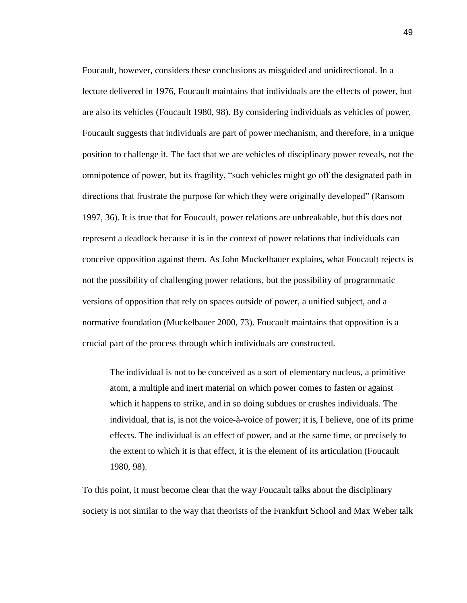Foucault, however, considers these conclusions as misguided and unidirectional. In a lecture delivered in 1976, Foucault maintains that individuals are the effects of power, but are also its vehicles (Foucault 1980, 98). By considering individuals as vehicles of power, Foucault suggests that individuals are part of power mechanism, and therefore, in a unique position to challenge it. The fact that we are vehicles of disciplinary power reveals, not the omnipotence of power, but its fragility, "such vehicles might go off the designated path in directions that frustrate the purpose for which they were originally developed" (Ransom 1997, 36). It is true that for Foucault, power relations are unbreakable, but this does not represent a deadlock because it is in the context of power relations that individuals can conceive opposition against them. As John Muckelbauer explains, what Foucault rejects is not the possibility of challenging power relations, but the possibility of programmatic versions of opposition that rely on spaces outside of power, a unified subject, and a normative foundation (Muckelbauer 2000, 73). Foucault maintains that opposition is a crucial part of the process through which individuals are constructed.

The individual is not to be conceived as a sort of elementary nucleus, a primitive atom, a multiple and inert material on which power comes to fasten or against which it happens to strike, and in so doing subdues or crushes individuals. The individual, that is, is not the voice-à-voice of power; it is, I believe, one of its prime effects. The individual is an effect of power, and at the same time, or precisely to the extent to which it is that effect, it is the element of its articulation (Foucault 1980, 98).

To this point, it must become clear that the way Foucault talks about the disciplinary society is not similar to the way that theorists of the Frankfurt School and Max Weber talk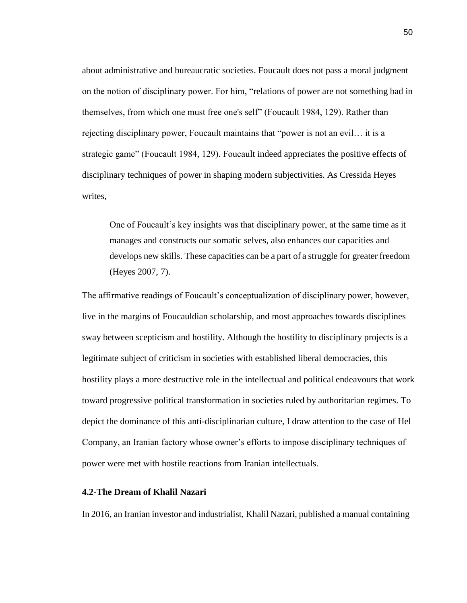about administrative and bureaucratic societies. Foucault does not pass a moral judgment on the notion of disciplinary power. For him, "relations of power are not something bad in themselves, from which one must free one's self" (Foucault 1984, 129). Rather than rejecting disciplinary power, Foucault maintains that "power is not an evil… it is a strategic game" (Foucault 1984, 129). Foucault indeed appreciates the positive effects of disciplinary techniques of power in shaping modern subjectivities. As Cressida Heyes writes,

One of Foucault's key insights was that disciplinary power, at the same time as it manages and constructs our somatic selves, also enhances our capacities and develops new skills. These capacities can be a part of a struggle for greater freedom (Heyes 2007, 7).

The affirmative readings of Foucault's conceptualization of disciplinary power, however, live in the margins of Foucauldian scholarship, and most approaches towards disciplines sway between scepticism and hostility. Although the hostility to disciplinary projects is a legitimate subject of criticism in societies with established liberal democracies, this hostility plays a more destructive role in the intellectual and political endeavours that work toward progressive political transformation in societies ruled by authoritarian regimes. To depict the dominance of this anti-disciplinarian culture, I draw attention to the case of Hel Company, an Iranian factory whose owner's efforts to impose disciplinary techniques of power were met with hostile reactions from Iranian intellectuals.

## **4.2**-**The Dream of Khalil Nazari**

In 2016, an Iranian investor and industrialist, Khalil Nazari, published a manual containing

50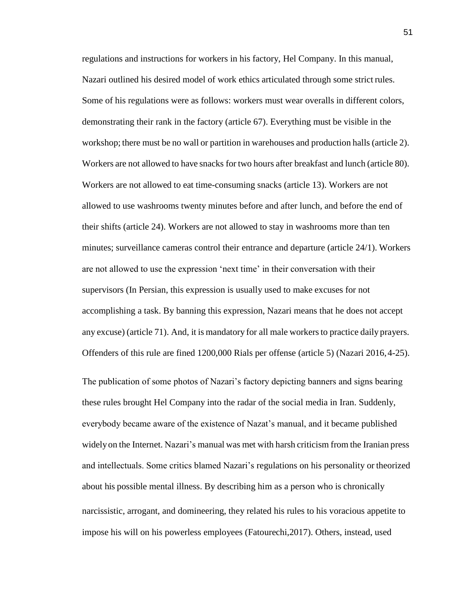regulations and instructions for workers in his factory, Hel Company. In this manual, Nazari outlined his desired model of work ethics articulated through some strict rules. Some of his regulations were as follows: workers must wear overalls in different colors, demonstrating their rank in the factory (article 67). Everything must be visible in the workshop; there must be no wall or partition in warehouses and production halls (article 2). Workers are not allowed to have snacks for two hours after breakfast and lunch (article 80). Workers are not allowed to eat time-consuming snacks (article 13). Workers are not allowed to use washrooms twenty minutes before and after lunch, and before the end of their shifts (article 24). Workers are not allowed to stay in washrooms more than ten minutes; surveillance cameras control their entrance and departure (article 24/1). Workers are not allowed to use the expression 'next time' in their conversation with their supervisors (In Persian, this expression is usually used to make excuses for not accomplishing a task. By banning this expression, Nazari means that he does not accept any excuse) (article 71). And, it is mandatory for all male workersto practice daily prayers. Offenders of this rule are fined 1200,000 Rials per offense (article 5) (Nazari 2016,4-25).

The publication of some photos of Nazari's factory depicting banners and signs bearing these rules brought Hel Company into the radar of the social media in Iran. Suddenly, everybody became aware of the existence of Nazat's manual, and it became published widelyon the Internet. Nazari's manual was met with harsh criticism from the Iranian press and intellectuals. Some critics blamed Nazari's regulations on his personality or theorized about his possible mental illness. By describing him as a person who is chronically narcissistic, arrogant, and domineering, they related his rules to his voracious appetite to impose his will on his powerless employees (Fatourechi,2017). Others, instead, used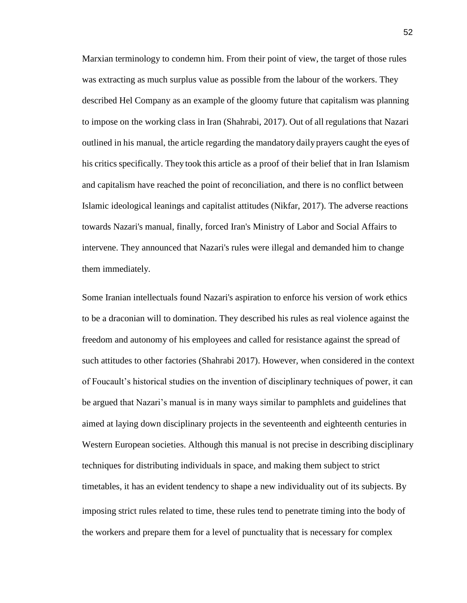Marxian terminology to condemn him. From their point of view, the target of those rules was extracting as much surplus value as possible from the labour of the workers. They described Hel Company as an example of the gloomy future that capitalism was planning to impose on the working class in Iran (Shahrabi, 2017). Out of all regulations that Nazari outlined in his manual, the article regarding the mandatory dailyprayers caught the eyes of his critics specifically. They took this article as a proof of their belief that in Iran Islamism and capitalism have reached the point of reconciliation, and there is no conflict between Islamic ideological leanings and capitalist attitudes (Nikfar, 2017). The adverse reactions towards Nazari's manual, finally, forced Iran's Ministry of Labor and Social Affairs to intervene. They announced that Nazari's rules were illegal and demanded him to change them immediately.

Some Iranian intellectuals found Nazari's aspiration to enforce his version of work ethics to be a draconian will to domination. They described his rules as real violence against the freedom and autonomy of his employees and called for resistance against the spread of such attitudes to other factories (Shahrabi 2017). However, when considered in the context of Foucault's historical studies on the invention of disciplinary techniques of power, it can be argued that Nazari's manual is in many ways similar to pamphlets and guidelines that aimed at laying down disciplinary projects in the seventeenth and eighteenth centuries in Western European societies. Although this manual is not precise in describing disciplinary techniques for distributing individuals in space, and making them subject to strict timetables, it has an evident tendency to shape a new individuality out of its subjects. By imposing strict rules related to time, these rules tend to penetrate timing into the body of the workers and prepare them for a level of punctuality that is necessary for complex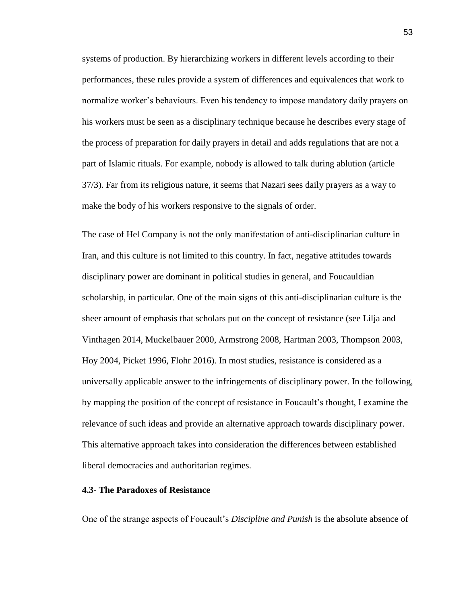systems of production. By hierarchizing workers in different levels according to their performances, these rules provide a system of differences and equivalences that work to normalize worker's behaviours. Even his tendency to impose mandatory daily prayers on his workers must be seen as a disciplinary technique because he describes every stage of the process of preparation for daily prayers in detail and adds regulations that are not a part of Islamic rituals. For example, nobody is allowed to talk during ablution (article 37/3). Far from its religious nature, it seems that Nazari sees daily prayers as a way to make the body of his workers responsive to the signals of order.

The case of Hel Company is not the only manifestation of anti-disciplinarian culture in Iran, and this culture is not limited to this country. In fact, negative attitudes towards disciplinary power are dominant in political studies in general, and Foucauldian scholarship, in particular. One of the main signs of this anti-disciplinarian culture is the sheer amount of emphasis that scholars put on the concept of resistance (see Lilja and Vinthagen 2014, Muckelbauer 2000, Armstrong 2008, Hartman 2003, Thompson 2003, Hoy 2004, Picket 1996, Flohr 2016). In most studies, resistance is considered as a universally applicable answer to the infringements of disciplinary power. In the following, by mapping the position of the concept of resistance in Foucault's thought, I examine the relevance of such ideas and provide an alternative approach towards disciplinary power. This alternative approach takes into consideration the differences between established liberal democracies and authoritarian regimes.

# **4.3**- **The Paradoxes of Resistance**

One of the strange aspects of Foucault's *Discipline and Punish* is the absolute absence of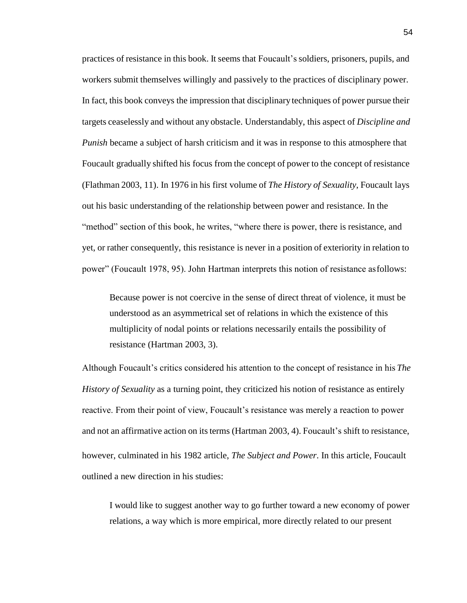practices of resistance in this book. It seems that Foucault's soldiers, prisoners, pupils, and workers submit themselves willingly and passively to the practices of disciplinary power. In fact, this book conveys the impression that disciplinary techniques of power pursue their targets ceaselessly and without any obstacle. Understandably, this aspect of *Discipline and Punish* became a subject of harsh criticism and it was in response to this atmosphere that Foucault gradually shifted his focus from the concept of power to the concept of resistance (Flathman 2003, 11). In 1976 in his first volume of *The History of Sexuality*, Foucault lays out his basic understanding of the relationship between power and resistance. In the "method" section of this book, he writes, "where there is power, there is resistance, and yet, or rather consequently, this resistance is never in a position of exteriority in relation to power" (Foucault 1978, 95). John Hartman interprets this notion of resistance asfollows:

Because power is not coercive in the sense of direct threat of violence, it must be understood as an asymmetrical set of relations in which the existence of this multiplicity of nodal points or relations necessarily entails the possibility of resistance (Hartman 2003, 3).

Although Foucault's critics considered his attention to the concept of resistance in his *The History of Sexuality* as a turning point, they criticized his notion of resistance as entirely reactive. From their point of view, Foucault's resistance was merely a reaction to power and not an affirmative action on its terms (Hartman 2003, 4). Foucault's shift to resistance, however, culminated in his 1982 article, *The Subject and Power*. In this article, Foucault outlined a new direction in his studies:

I would like to suggest another way to go further toward a new economy of power relations, a way which is more empirical, more directly related to our present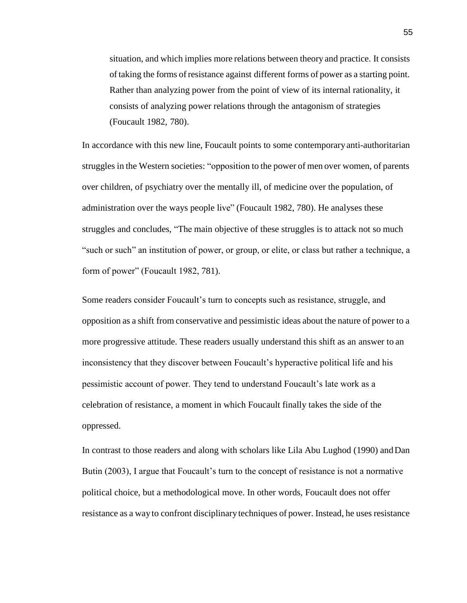situation, and which implies more relations between theory and practice. It consists oftaking the forms ofresistance against different forms of power as a starting point. Rather than analyzing power from the point of view of its internal rationality, it consists of analyzing power relations through the antagonism of strategies (Foucault 1982, 780).

In accordance with this new line, Foucault points to some contemporaryanti-authoritarian struggles in the Western societies: "opposition to the power of men over women, of parents over children, of psychiatry over the mentally ill, of medicine over the population, of administration over the ways people live" (Foucault 1982, 780). He analyses these struggles and concludes, "The main objective of these struggles is to attack not so much "such or such" an institution of power, or group, or elite, or class but rather a technique, a form of power" (Foucault 1982, 781).

Some readers consider Foucault's turn to concepts such as resistance, struggle, and opposition as a shift from conservative and pessimistic ideas about the nature of power to a more progressive attitude. These readers usually understand this shift as an answer to an inconsistency that they discover between Foucault's hyperactive political life and his pessimistic account of power. They tend to understand Foucault's late work as a celebration of resistance, a moment in which Foucault finally takes the side of the oppressed.

In contrast to those readers and along with scholars like Lila Abu Lughod (1990) andDan Butin (2003), I argue that Foucault's turn to the concept of resistance is not a normative political choice, but a methodological move. In other words, Foucault does not offer resistance as a way to confront disciplinary techniques of power. Instead, he uses resistance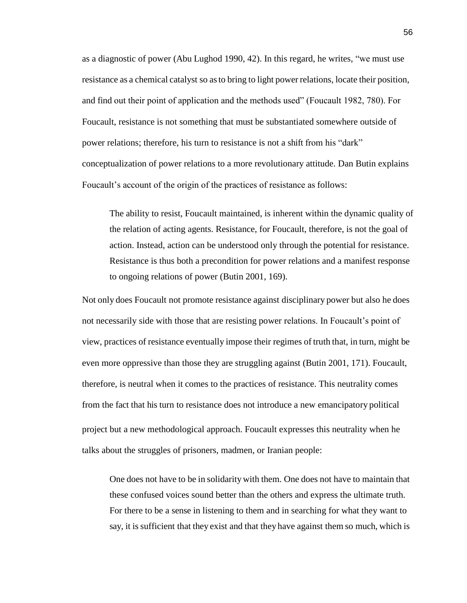as a diagnostic of power (Abu Lughod 1990, 42). In this regard, he writes, "we must use resistance as a chemical catalyst so asto bring to light power relations, locate their position, and find out their point of application and the methods used" (Foucault 1982, 780). For Foucault, resistance is not something that must be substantiated somewhere outside of power relations; therefore, his turn to resistance is not a shift from his "dark" conceptualization of power relations to a more revolutionary attitude. Dan Butin explains Foucault's account of the origin of the practices of resistance as follows:

The ability to resist, Foucault maintained, is inherent within the dynamic quality of the relation of acting agents. Resistance, for Foucault, therefore, is not the goal of action. Instead, action can be understood only through the potential for resistance. Resistance is thus both a precondition for power relations and a manifest response to ongoing relations of power (Butin 2001, 169).

Not only does Foucault not promote resistance against disciplinary power but also he does not necessarily side with those that are resisting power relations. In Foucault's point of view, practices of resistance eventually impose their regimes of truth that, in turn, might be even more oppressive than those they are struggling against (Butin 2001, 171). Foucault, therefore, is neutral when it comes to the practices of resistance. This neutrality comes from the fact that his turn to resistance does not introduce a new emancipatory political project but a new methodological approach. Foucault expresses this neutrality when he talks about the struggles of prisoners, madmen, or Iranian people:

One does not have to be in solidarity with them. One does not have to maintain that these confused voices sound better than the others and express the ultimate truth. For there to be a sense in listening to them and in searching for what they want to say, it issufficient that they exist and that they have against them so much, which is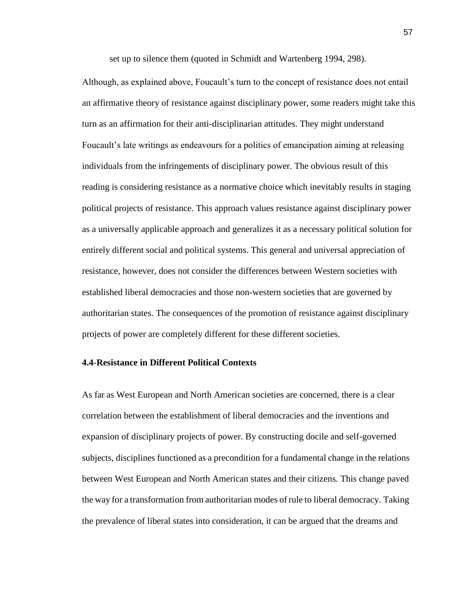set up to silence them (quoted in Schmidt and Wartenberg 1994, 298).

Although, as explained above, Foucault's turn to the concept of resistance does not entail an affirmative theory of resistance against disciplinary power, some readers might take this turn as an affirmation for their anti-disciplinarian attitudes. They might understand Foucault's late writings as endeavours for a politics of emancipation aiming at releasing individuals from the infringements of disciplinary power. The obvious result of this reading is considering resistance as a normative choice which inevitably results in staging political projects of resistance. This approach values resistance against disciplinary power as a universally applicable approach and generalizes it as a necessary political solution for entirely different social and political systems. This general and universal appreciation of resistance, however, does not consider the differences between Western societies with established liberal democracies and those non-western societies that are governed by authoritarian states. The consequences of the promotion of resistance against disciplinary projects of power are completely different for these different societies.

## **4.4**-**Resistance in Different Political Contexts**

As far as West European and North American societies are concerned, there is a clear correlation between the establishment of liberal democracies and the inventions and expansion of disciplinary projects of power. By constructing docile and self-governed subjects, disciplines functioned as a precondition for a fundamental change in the relations between West European and North American states and their citizens. This change paved the way for a transformation from authoritarian modes of rule to liberal democracy. Taking the prevalence of liberal states into consideration, it can be argued that the dreams and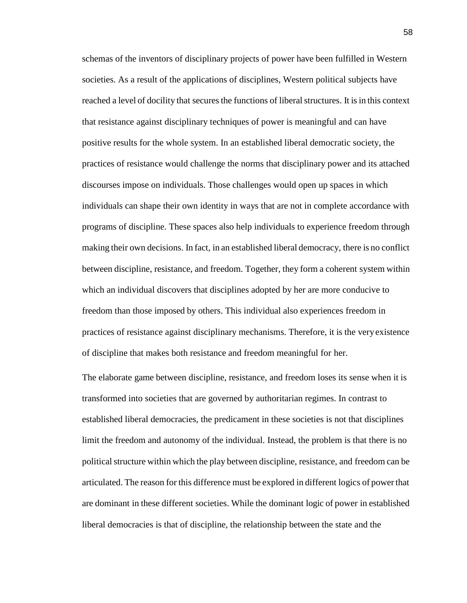schemas of the inventors of disciplinary projects of power have been fulfilled in Western societies. As a result of the applications of disciplines, Western political subjects have reached a level of docility that secures the functions of liberal structures. It is in this context that resistance against disciplinary techniques of power is meaningful and can have positive results for the whole system. In an established liberal democratic society, the practices of resistance would challenge the norms that disciplinary power and its attached discourses impose on individuals. Those challenges would open up spaces in which individuals can shape their own identity in ways that are not in complete accordance with programs of discipline. These spaces also help individuals to experience freedom through making their own decisions. In fact, in an established liberal democracy, there is no conflict between discipline, resistance, and freedom. Together, they form a coherent system within which an individual discovers that disciplines adopted by her are more conducive to freedom than those imposed by others. This individual also experiences freedom in practices of resistance against disciplinary mechanisms. Therefore, it is the veryexistence of discipline that makes both resistance and freedom meaningful for her.

The elaborate game between discipline, resistance, and freedom loses its sense when it is transformed into societies that are governed by authoritarian regimes. In contrast to established liberal democracies, the predicament in these societies is not that disciplines limit the freedom and autonomy of the individual. Instead, the problem is that there is no political structure within which the play between discipline, resistance, and freedom can be articulated. The reason for this difference must be explored in different logics of powerthat are dominant in these different societies. While the dominant logic of power in established liberal democracies is that of discipline, the relationship between the state and the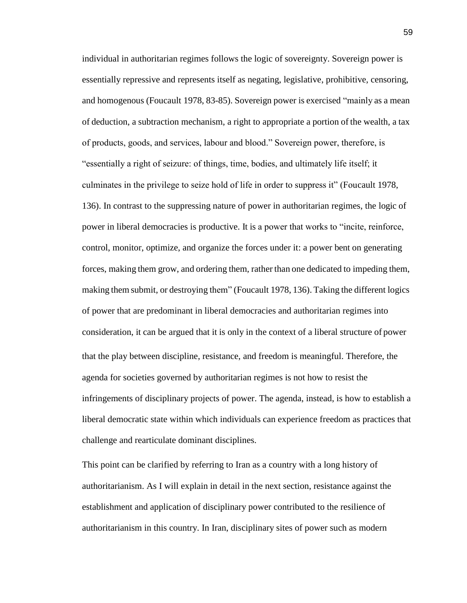individual in authoritarian regimes follows the logic of sovereignty. Sovereign power is essentially repressive and represents itself as negating, legislative, prohibitive, censoring, and homogenous (Foucault 1978, 83-85). Sovereign power is exercised "mainly as a mean of deduction, a subtraction mechanism, a right to appropriate a portion of the wealth, a tax of products, goods, and services, labour and blood." Sovereign power, therefore, is "essentially a right of seizure: of things, time, bodies, and ultimately life itself; it culminates in the privilege to seize hold of life in order to suppress it" (Foucault 1978, 136). In contrast to the suppressing nature of power in authoritarian regimes, the logic of power in liberal democracies is productive. It is a power that works to "incite, reinforce, control, monitor, optimize, and organize the forces under it: a power bent on generating forces, making them grow, and ordering them, rather than one dedicated to impeding them, making them submit, or destroying them" (Foucault 1978, 136). Taking the different logics of power that are predominant in liberal democracies and authoritarian regimes into consideration, it can be argued that it is only in the context of a liberal structure of power that the play between discipline, resistance, and freedom is meaningful. Therefore, the agenda for societies governed by authoritarian regimes is not how to resist the infringements of disciplinary projects of power. The agenda, instead, is how to establish a liberal democratic state within which individuals can experience freedom as practices that challenge and rearticulate dominant disciplines.

This point can be clarified by referring to Iran as a country with a long history of authoritarianism. As I will explain in detail in the next section, resistance against the establishment and application of disciplinary power contributed to the resilience of authoritarianism in this country. In Iran, disciplinary sites of power such as modern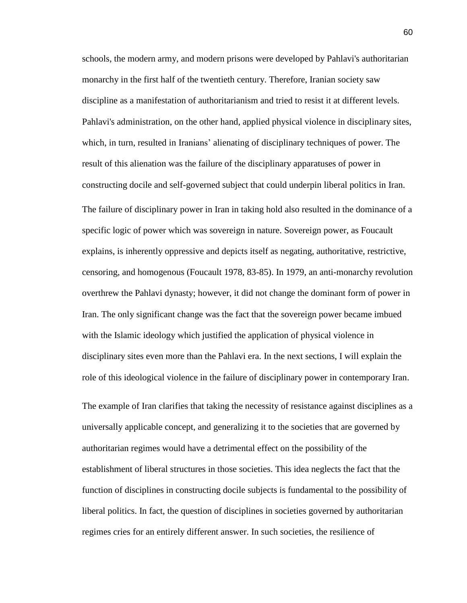schools, the modern army, and modern prisons were developed by Pahlavi's authoritarian monarchy in the first half of the twentieth century. Therefore, Iranian society saw discipline as a manifestation of authoritarianism and tried to resist it at different levels. Pahlavi's administration, on the other hand, applied physical violence in disciplinary sites, which, in turn, resulted in Iranians' alienating of disciplinary techniques of power. The result of this alienation was the failure of the disciplinary apparatuses of power in constructing docile and self-governed subject that could underpin liberal politics in Iran. The failure of disciplinary power in Iran in taking hold also resulted in the dominance of a specific logic of power which was sovereign in nature. Sovereign power, as Foucault explains, is inherently oppressive and depicts itself as negating, authoritative, restrictive, censoring, and homogenous (Foucault 1978, 83-85). In 1979, an anti-monarchy revolution overthrew the Pahlavi dynasty; however, it did not change the dominant form of power in Iran. The only significant change was the fact that the sovereign power became imbued with the Islamic ideology which justified the application of physical violence in disciplinary sites even more than the Pahlavi era. In the next sections, I will explain the role of this ideological violence in the failure of disciplinary power in contemporary Iran.

The example of Iran clarifies that taking the necessity of resistance against disciplines as a universally applicable concept, and generalizing it to the societies that are governed by authoritarian regimes would have a detrimental effect on the possibility of the establishment of liberal structures in those societies. This idea neglects the fact that the function of disciplines in constructing docile subjects is fundamental to the possibility of liberal politics. In fact, the question of disciplines in societies governed by authoritarian regimes cries for an entirely different answer. In such societies, the resilience of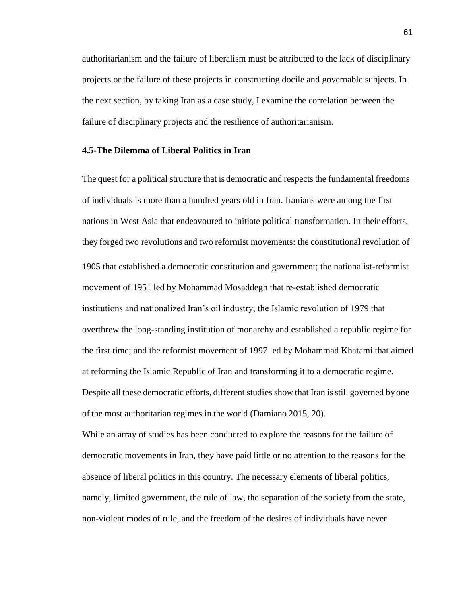authoritarianism and the failure of liberalism must be attributed to the lack of disciplinary projects or the failure of these projects in constructing docile and governable subjects. In the next section, by taking Iran as a case study, I examine the correlation between the failure of disciplinary projects and the resilience of authoritarianism.

## **4.5**-**The Dilemma of Liberal Politics in Iran**

The quest for a political structure that is democratic and respects the fundamental freedoms of individuals is more than a hundred years old in Iran. Iranians were among the first nations in West Asia that endeavoured to initiate political transformation. In their efforts, they forged two revolutions and two reformist movements: the constitutional revolution of 1905 that established a democratic constitution and government; the nationalist-reformist movement of 1951 led by Mohammad Mosaddegh that re-established democratic institutions and nationalized Iran's oil industry; the Islamic revolution of 1979 that overthrew the long-standing institution of monarchy and established a republic regime for the first time; and the reformist movement of 1997 led by Mohammad Khatami that aimed at reforming the Islamic Republic of Iran and transforming it to a democratic regime. Despite all these democratic efforts, different studies show that Iran isstill governed byone of the most authoritarian regimes in the world (Damiano 2015, 20).

While an array of studies has been conducted to explore the reasons for the failure of democratic movements in Iran, they have paid little or no attention to the reasons for the absence of liberal politics in this country. The necessary elements of liberal politics, namely, limited government, the rule of law, the separation of the society from the state, non-violent modes of rule, and the freedom of the desires of individuals have never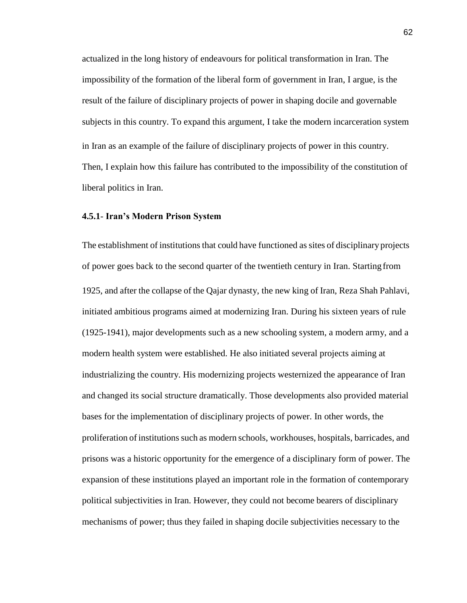actualized in the long history of endeavours for political transformation in Iran. The impossibility of the formation of the liberal form of government in Iran, I argue, is the result of the failure of disciplinary projects of power in shaping docile and governable subjects in this country. To expand this argument, I take the modern incarceration system in Iran as an example of the failure of disciplinary projects of power in this country. Then, I explain how this failure has contributed to the impossibility of the constitution of liberal politics in Iran.

#### **4.5.1**- **Iran's Modern Prison System**

The establishment of institutions that could have functioned as sites of disciplinary projects of power goes back to the second quarter of the twentieth century in Iran. Starting from 1925, and after the collapse of the Qajar dynasty, the new king of Iran, Reza Shah Pahlavi, initiated ambitious programs aimed at modernizing Iran. During his sixteen years of rule (1925-1941), major developments such as a new schooling system, a modern army, and a modern health system were established. He also initiated several projects aiming at industrializing the country. His modernizing projects westernized the appearance of Iran and changed its social structure dramatically. Those developments also provided material bases for the implementation of disciplinary projects of power. In other words, the proliferation of institutions such as modern schools, workhouses, hospitals, barricades, and prisons was a historic opportunity for the emergence of a disciplinary form of power. The expansion of these institutions played an important role in the formation of contemporary political subjectivities in Iran. However, they could not become bearers of disciplinary mechanisms of power; thus they failed in shaping docile subjectivities necessary to the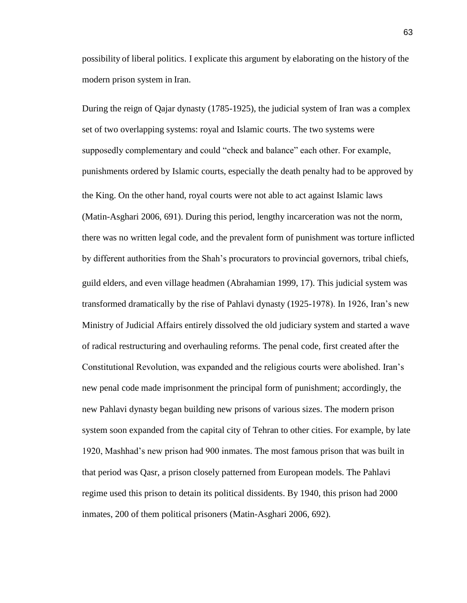possibility of liberal politics. I explicate this argument by elaborating on the history of the modern prison system in Iran.

During the reign of Qajar dynasty (1785-1925), the judicial system of Iran was a complex set of two overlapping systems: royal and Islamic courts. The two systems were supposedly complementary and could "check and balance" each other. For example, punishments ordered by Islamic courts, especially the death penalty had to be approved by the King. On the other hand, royal courts were not able to act against Islamic laws (Matin-Asghari 2006, 691). During this period, lengthy incarceration was not the norm, there was no written legal code, and the prevalent form of punishment was torture inflicted by different authorities from the Shah's procurators to provincial governors, tribal chiefs, guild elders, and even village headmen (Abrahamian 1999, 17). This judicial system was transformed dramatically by the rise of Pahlavi dynasty (1925-1978). In 1926, Iran's new Ministry of Judicial Affairs entirely dissolved the old judiciary system and started a wave of radical restructuring and overhauling reforms. The penal code, first created after the Constitutional Revolution, was expanded and the religious courts were abolished. Iran's new penal code made imprisonment the principal form of punishment; accordingly, the new Pahlavi dynasty began building new prisons of various sizes. The modern prison system soon expanded from the capital city of Tehran to other cities. For example, by late 1920, Mashhad's new prison had 900 inmates. The most famous prison that was built in that period was Qasr, a prison closely patterned from European models. The Pahlavi regime used this prison to detain its political dissidents. By 1940, this prison had 2000 inmates, 200 of them political prisoners (Matin-Asghari 2006, 692).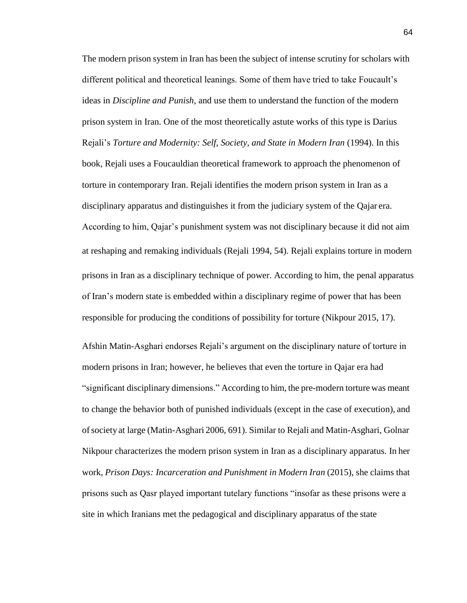The modern prison system in Iran has been the subject of intense scrutiny for scholars with different political and theoretical leanings. Some of them have tried to take Foucault's ideas in *Discipline and Punish*, and use them to understand the function of the modern prison system in Iran. One of the most theoretically astute works of this type is Darius Rejali's *Torture and Modernity: Self, Society, and State in Modern Iran* (1994). In this book, Rejali uses a Foucauldian theoretical framework to approach the phenomenon of torture in contemporary Iran. Rejali identifies the modern prison system in Iran as a disciplinary apparatus and distinguishes it from the judiciary system of the Qajar era. According to him, Qajar's punishment system was not disciplinary because it did not aim at reshaping and remaking individuals (Rejali 1994, 54). Rejali explains torture in modern prisons in Iran as a disciplinary technique of power. According to him, the penal apparatus of Iran's modern state is embedded within a disciplinary regime of power that has been responsible for producing the conditions of possibility for torture (Nikpour 2015, 17).

Afshin Matin-Asghari endorses Rejali's argument on the disciplinary nature of torture in modern prisons in Iran; however, he believes that even the torture in Qajar era had "significant disciplinary dimensions." According to him, the pre-modern torture was meant to change the behavior both of punished individuals (except in the case of execution), and ofsociety at large (Matin-Asghari 2006, 691). Similar to Rejali and Matin-Asghari, Golnar Nikpour characterizes the modern prison system in Iran as a disciplinary apparatus. In her work, *Prison Days: Incarceration and Punishment in Modern Iran* (2015), she claims that prisons such as Qasr played important tutelary functions "insofar as these prisons were a site in which Iranians met the pedagogical and disciplinary apparatus of the state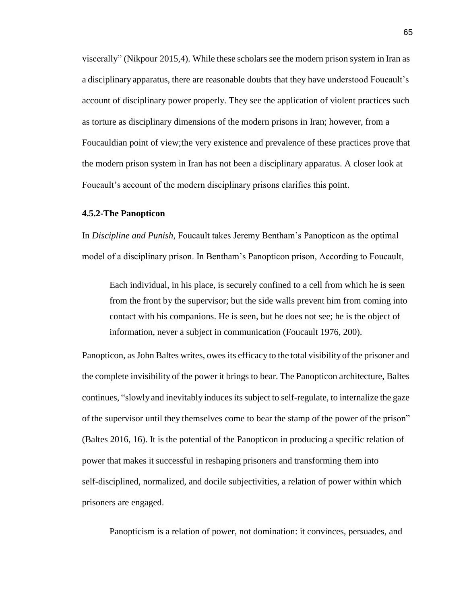viscerally" (Nikpour 2015,4). While these scholars see the modern prison system in Iran as a disciplinary apparatus, there are reasonable doubts that they have understood Foucault's account of disciplinary power properly. They see the application of violent practices such as torture as disciplinary dimensions of the modern prisons in Iran; however, from a Foucauldian point of view;the very existence and prevalence of these practices prove that the modern prison system in Iran has not been a disciplinary apparatus. A closer look at Foucault's account of the modern disciplinary prisons clarifies this point.

## **4.5.2-The Panopticon**

In *Discipline and Punish*, Foucault takes Jeremy Bentham's Panopticon as the optimal model of a disciplinary prison. In Bentham's Panopticon prison, According to Foucault,

Each individual, in his place, is securely confined to a cell from which he is seen from the front by the supervisor; but the side walls prevent him from coming into contact with his companions. He is seen, but he does not see; he is the object of information, never a subject in communication (Foucault 1976, 200).

Panopticon, as John Baltes writes, owes its efficacy to the total visibility of the prisoner and the complete invisibility of the power it brings to bear. The Panopticon architecture, Baltes continues, "slowly and inevitably induces its subject to self-regulate, to internalize the gaze of the supervisor until they themselves come to bear the stamp of the power of the prison" (Baltes 2016, 16). It is the potential of the Panopticon in producing a specific relation of power that makes it successful in reshaping prisoners and transforming them into self-disciplined, normalized, and docile subjectivities, a relation of power within which prisoners are engaged.

Panopticism is a relation of power, not domination: it convinces, persuades, and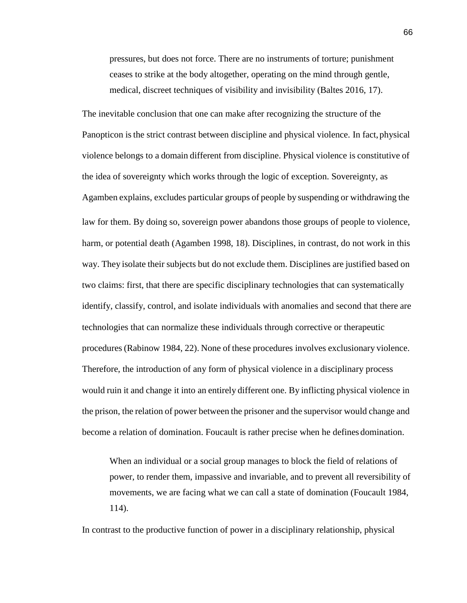pressures, but does not force. There are no instruments of torture; punishment ceases to strike at the body altogether, operating on the mind through gentle, medical, discreet techniques of visibility and invisibility (Baltes 2016, 17).

The inevitable conclusion that one can make after recognizing the structure of the Panopticon is the strict contrast between discipline and physical violence. In fact, physical violence belongs to a domain different from discipline. Physical violence is constitutive of the idea of sovereignty which works through the logic of exception. Sovereignty, as Agamben explains, excludes particular groups of people by suspending or withdrawing the law for them. By doing so, sovereign power abandons those groups of people to violence, harm, or potential death (Agamben 1998, 18). Disciplines, in contrast, do not work in this way. They isolate their subjects but do not exclude them. Disciplines are justified based on two claims: first, that there are specific disciplinary technologies that can systematically identify, classify, control, and isolate individuals with anomalies and second that there are technologies that can normalize these individuals through corrective or therapeutic procedures(Rabinow 1984, 22). None of these procedures involves exclusionary violence. Therefore, the introduction of any form of physical violence in a disciplinary process would ruin it and change it into an entirely different one. By inflicting physical violence in the prison, the relation of power between the prisoner and the supervisor would change and become a relation of domination. Foucault is rather precise when he defines domination.

When an individual or a social group manages to block the field of relations of power, to render them, impassive and invariable, and to prevent all reversibility of movements, we are facing what we can call a state of domination (Foucault 1984, 114).

In contrast to the productive function of power in a disciplinary relationship, physical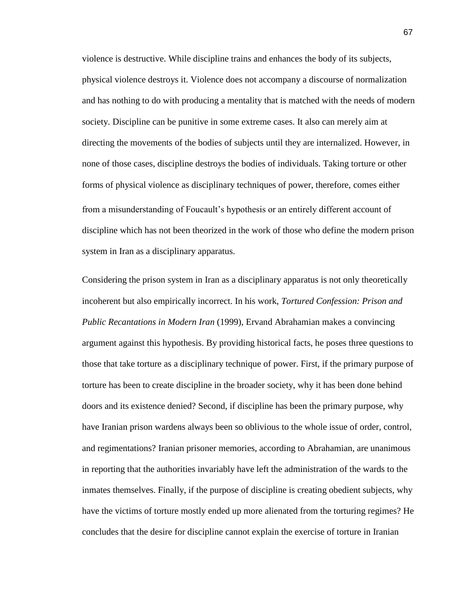violence is destructive. While discipline trains and enhances the body of its subjects, physical violence destroys it. Violence does not accompany a discourse of normalization and has nothing to do with producing a mentality that is matched with the needs of modern society. Discipline can be punitive in some extreme cases. It also can merely aim at directing the movements of the bodies of subjects until they are internalized. However, in none of those cases, discipline destroys the bodies of individuals. Taking torture or other forms of physical violence as disciplinary techniques of power, therefore, comes either from a misunderstanding of Foucault's hypothesis or an entirely different account of discipline which has not been theorized in the work of those who define the modern prison system in Iran as a disciplinary apparatus.

Considering the prison system in Iran as a disciplinary apparatus is not only theoretically incoherent but also empirically incorrect. In his work, *Tortured Confession: Prison and Public Recantations in Modern Iran* (1999), Ervand Abrahamian makes a convincing argument against this hypothesis. By providing historical facts, he poses three questions to those that take torture as a disciplinary technique of power. First, if the primary purpose of torture has been to create discipline in the broader society, why it has been done behind doors and its existence denied? Second, if discipline has been the primary purpose, why have Iranian prison wardens always been so oblivious to the whole issue of order, control, and regimentations? Iranian prisoner memories, according to Abrahamian, are unanimous in reporting that the authorities invariably have left the administration of the wards to the inmates themselves. Finally, if the purpose of discipline is creating obedient subjects, why have the victims of torture mostly ended up more alienated from the torturing regimes? He concludes that the desire for discipline cannot explain the exercise of torture in Iranian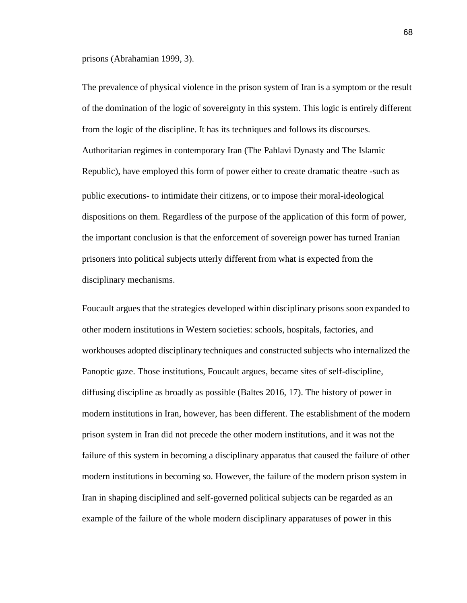prisons (Abrahamian 1999, 3).

The prevalence of physical violence in the prison system of Iran is a symptom or the result of the domination of the logic of sovereignty in this system. This logic is entirely different from the logic of the discipline. It has its techniques and follows its discourses. Authoritarian regimes in contemporary Iran (The Pahlavi Dynasty and The Islamic Republic), have employed this form of power either to create dramatic theatre -such as public executions- to intimidate their citizens, or to impose their moral-ideological dispositions on them. Regardless of the purpose of the application of this form of power, the important conclusion is that the enforcement of sovereign power has turned Iranian prisoners into political subjects utterly different from what is expected from the disciplinary mechanisms.

Foucault argues that the strategies developed within disciplinary prisons soon expanded to other modern institutions in Western societies: schools, hospitals, factories, and workhouses adopted disciplinary techniques and constructed subjects who internalized the Panoptic gaze. Those institutions, Foucault argues, became sites of self-discipline, diffusing discipline as broadly as possible (Baltes 2016, 17). The history of power in modern institutions in Iran, however, has been different. The establishment of the modern prison system in Iran did not precede the other modern institutions, and it was not the failure of this system in becoming a disciplinary apparatus that caused the failure of other modern institutions in becoming so. However, the failure of the modern prison system in Iran in shaping disciplined and self-governed political subjects can be regarded as an example of the failure of the whole modern disciplinary apparatuses of power in this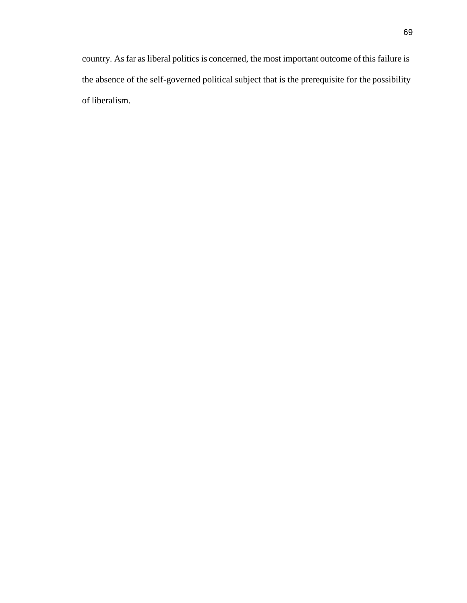country. As far as liberal politics is concerned, the most important outcome ofthis failure is the absence of the self-governed political subject that is the prerequisite for the possibility of liberalism.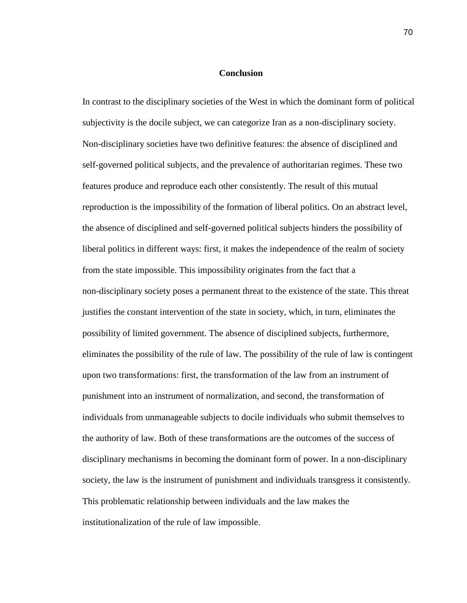## **Conclusion**

In contrast to the disciplinary societies of the West in which the dominant form of political subjectivity is the docile subject, we can categorize Iran as a non-disciplinary society. Non-disciplinary societies have two definitive features: the absence of disciplined and self-governed political subjects, and the prevalence of authoritarian regimes. These two features produce and reproduce each other consistently. The result of this mutual reproduction is the impossibility of the formation of liberal politics. On an abstract level, the absence of disciplined and self-governed political subjects hinders the possibility of liberal politics in different ways: first, it makes the independence of the realm of society from the state impossible. This impossibility originates from the fact that a non-disciplinary society poses a permanent threat to the existence of the state. This threat justifies the constant intervention of the state in society, which, in turn, eliminates the possibility of limited government. The absence of disciplined subjects, furthermore, eliminates the possibility of the rule of law. The possibility of the rule of law is contingent upon two transformations: first, the transformation of the law from an instrument of punishment into an instrument of normalization, and second, the transformation of individuals from unmanageable subjects to docile individuals who submit themselves to the authority of law. Both of these transformations are the outcomes of the success of disciplinary mechanisms in becoming the dominant form of power. In a non-disciplinary society, the law is the instrument of punishment and individuals transgress it consistently. This problematic relationship between individuals and the law makes the institutionalization of the rule of law impossible.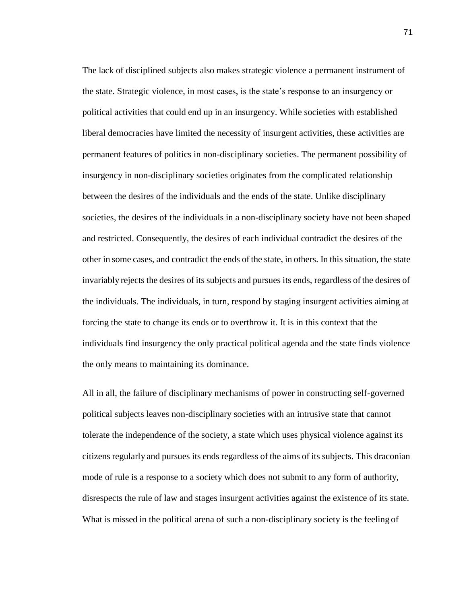The lack of disciplined subjects also makes strategic violence a permanent instrument of the state. Strategic violence, in most cases, is the state's response to an insurgency or political activities that could end up in an insurgency. While societies with established liberal democracies have limited the necessity of insurgent activities, these activities are permanent features of politics in non-disciplinary societies. The permanent possibility of insurgency in non-disciplinary societies originates from the complicated relationship between the desires of the individuals and the ends of the state. Unlike disciplinary societies, the desires of the individuals in a non-disciplinary society have not been shaped and restricted. Consequently, the desires of each individual contradict the desires of the other in some cases, and contradict the ends of the state, in others. In this situation, the state invariably rejects the desires of its subjects and pursues its ends, regardless of the desires of the individuals. The individuals, in turn, respond by staging insurgent activities aiming at forcing the state to change its ends or to overthrow it. It is in this context that the individuals find insurgency the only practical political agenda and the state finds violence the only means to maintaining its dominance.

All in all, the failure of disciplinary mechanisms of power in constructing self-governed political subjects leaves non-disciplinary societies with an intrusive state that cannot tolerate the independence of the society, a state which uses physical violence against its citizens regularly and pursues its ends regardless of the aims of its subjects. This draconian mode of rule is a response to a society which does not submit to any form of authority, disrespects the rule of law and stages insurgent activities against the existence of its state. What is missed in the political arena of such a non-disciplinary society is the feeling of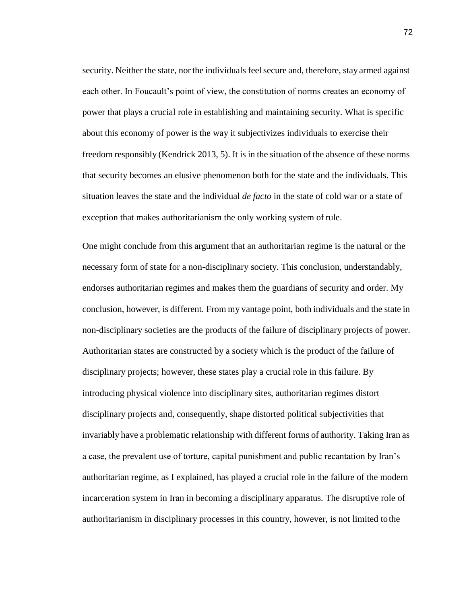security. Neither the state, nor the individuals feel secure and, therefore, stay armed against each other. In Foucault's point of view, the constitution of norms creates an economy of power that plays a crucial role in establishing and maintaining security. What is specific about this economy of power is the way it subjectivizes individuals to exercise their freedom responsibly (Kendrick 2013, 5). It is in the situation of the absence of these norms that security becomes an elusive phenomenon both for the state and the individuals. This situation leaves the state and the individual *de facto* in the state of cold war or a state of exception that makes authoritarianism the only working system of rule.

One might conclude from this argument that an authoritarian regime is the natural or the necessary form of state for a non-disciplinary society. This conclusion, understandably, endorses authoritarian regimes and makes them the guardians of security and order. My conclusion, however, is different. From my vantage point, both individuals and the state in non-disciplinary societies are the products of the failure of disciplinary projects of power. Authoritarian states are constructed by a society which is the product of the failure of disciplinary projects; however, these states play a crucial role in this failure. By introducing physical violence into disciplinary sites, authoritarian regimes distort disciplinary projects and, consequently, shape distorted political subjectivities that invariably have a problematic relationship with different forms of authority. Taking Iran as a case, the prevalent use of torture, capital punishment and public recantation by Iran's authoritarian regime, as I explained, has played a crucial role in the failure of the modern incarceration system in Iran in becoming a disciplinary apparatus. The disruptive role of authoritarianism in disciplinary processes in this country, however, is not limited tothe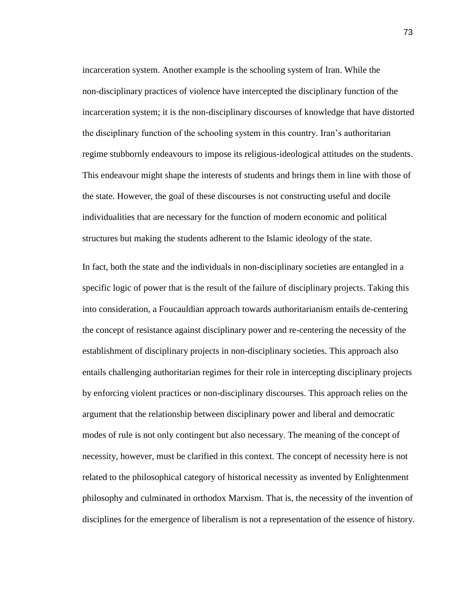incarceration system. Another example is the schooling system of Iran. While the non-disciplinary practices of violence have intercepted the disciplinary function of the incarceration system; it is the non-disciplinary discourses of knowledge that have distorted the disciplinary function of the schooling system in this country. Iran's authoritarian regime stubbornly endeavours to impose its religious-ideological attitudes on the students. This endeavour might shape the interests of students and brings them in line with those of the state. However, the goal of these discourses is not constructing useful and docile individualities that are necessary for the function of modern economic and political structures but making the students adherent to the Islamic ideology of the state.

In fact, both the state and the individuals in non-disciplinary societies are entangled in a specific logic of power that is the result of the failure of disciplinary projects. Taking this into consideration, a Foucauldian approach towards authoritarianism entails de-centering the concept of resistance against disciplinary power and re-centering the necessity of the establishment of disciplinary projects in non-disciplinary societies. This approach also entails challenging authoritarian regimes for their role in intercepting disciplinary projects by enforcing violent practices or non-disciplinary discourses. This approach relies on the argument that the relationship between disciplinary power and liberal and democratic modes of rule is not only contingent but also necessary. The meaning of the concept of necessity, however, must be clarified in this context. The concept of necessity here is not related to the philosophical category of historical necessity as invented by Enlightenment philosophy and culminated in orthodox Marxism. That is, the necessity of the invention of disciplines for the emergence of liberalism is not a representation of the essence of history.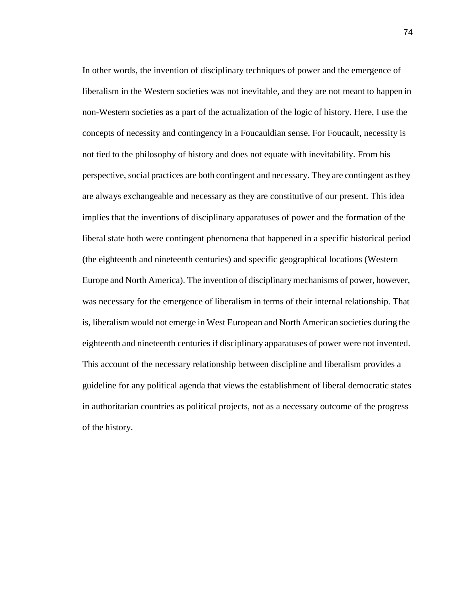In other words, the invention of disciplinary techniques of power and the emergence of liberalism in the Western societies was not inevitable, and they are not meant to happen in non-Western societies as a part of the actualization of the logic of history. Here, I use the concepts of necessity and contingency in a Foucauldian sense. For Foucault, necessity is not tied to the philosophy of history and does not equate with inevitability. From his perspective, social practices are both contingent and necessary. They are contingent asthey are always exchangeable and necessary as they are constitutive of our present. This idea implies that the inventions of disciplinary apparatuses of power and the formation of the liberal state both were contingent phenomena that happened in a specific historical period (the eighteenth and nineteenth centuries) and specific geographical locations (Western Europe and North America). The invention of disciplinarymechanisms of power, however, was necessary for the emergence of liberalism in terms of their internal relationship. That is, liberalism would not emerge in West European and North American societies during the eighteenth and nineteenth centuries if disciplinary apparatuses of power were not invented. This account of the necessary relationship between discipline and liberalism provides a guideline for any political agenda that views the establishment of liberal democratic states in authoritarian countries as political projects, not as a necessary outcome of the progress of the history.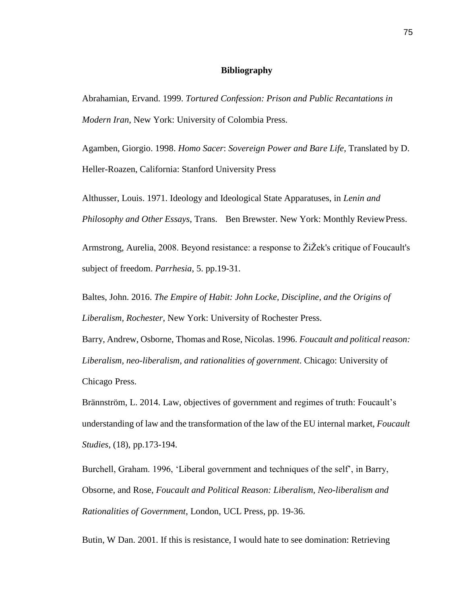## **Bibliography**

Abrahamian, Ervand. 1999. *Tortured Confession: Prison and Public Recantations in Modern Iran*, New York: University of Colombia Press.

Agamben, Giorgio. 1998. *Homo Sacer*: *Sovereign Power and Bare Life*, Translated by D. Heller-Roazen, California: Stanford University Press

Althusser, Louis. 1971. Ideology and Ideological State Apparatuses, in *Lenin and Philosophy and Other Essays*, Trans. Ben Brewster. New York: Monthly ReviewPress.

Armstrong, Aurelia, 2008. Beyond resistance: a response to ŽiŽek's critique of Foucault's subject of freedom. *Parrhesia*, 5. pp.19-31.

Baltes, John. 2016. *The Empire of Habit: John Locke, Discipline, and the Origins of Liberalism, Rochester*, New York: University of Rochester Press.

Barry, Andrew, Osborne, Thomas and Rose, Nicolas. 1996. *Foucault and political reason: Liberalism, neo-liberalism, and rationalities of government*. Chicago: University of Chicago Press.

Brännström, L. 2014. Law, objectives of government and regimes of truth: Foucault's understanding of law and the transformation of the law of the EU internal market, *Foucault Studies*, (18), pp.173-194.

Burchell, Graham. 1996, 'Liberal government and techniques of the self', in Barry, Obsorne, and Rose, *Foucault and Political Reason: Liberalism, Neo-liberalism and Rationalities of Government*, London, UCL Press, pp. 19-36.

Butin, W Dan. 2001. If this is resistance, I would hate to see domination: Retrieving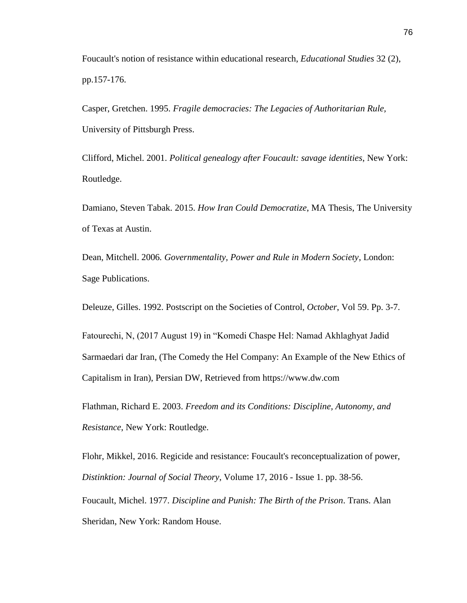Foucault's notion of resistance within educational research, *Educational Studies* 32 (2), pp.157-176.

Casper, Gretchen. 1995. *Fragile democracies: The Legacies of Authoritarian Rule,* University of Pittsburgh Press.

Clifford, Michel. 2001. *Political genealogy after Foucault: savage identities*, New York: Routledge.

Damiano, Steven Tabak. 2015. *How Iran Could Democratize*, MA Thesis, The University of Texas at Austin.

Dean, Mitchell. 2006*. Governmentality, Power and Rule in Modern Society*, London: Sage Publications.

Deleuze, Gilles. 1992. Postscript on the Societies of Control, *October*, Vol 59. Pp. 3-7.

Fatourechi, N, (2017 August 19) in "Komedi Chaspe Hel: Namad Akhlaghyat Jadid Sarmaedari dar Iran, (The Comedy the Hel Company: An Example of the New Ethics of Capitalism in Iran), Persian DW, Retrieved from ht[tps://www.dw.com](http://www.dw.com/)

Flathman, Richard E. 2003. *Freedom and its Conditions: Discipline, Autonomy, and Resistance*, New York: Routledge.

Flohr, Mikkel, 2016. Regicide and resistance: Foucault's reconceptualization of power, *Distinktion: Journal of Social Theory*, Volume 17, 2016 - Issue 1. pp. 38-56.

Foucault, Michel. 1977. *Discipline and Punish: The Birth of the Prison*. Trans. Alan Sheridan, New York: Random House.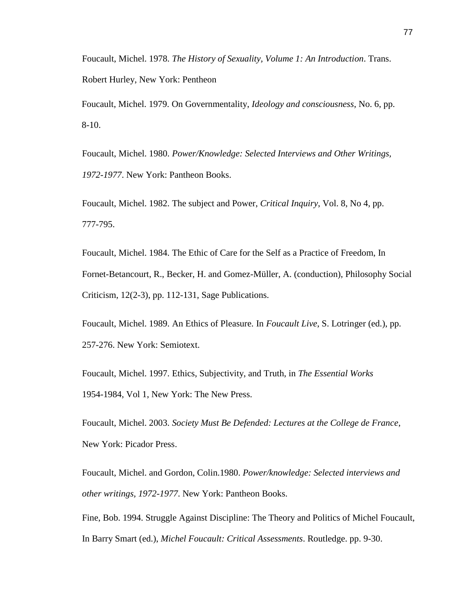Foucault, Michel. 1978. *The History of Sexuality, Volume 1: An Introduction*. Trans. Robert Hurley, New York: Pentheon

Foucault, Michel. 1979. On Governmentality, *Ideology and consciousness*, No. 6, pp. 8-10.

Foucault, Michel. 1980. *Power/Knowledge: Selected Interviews and Other Writings, 1972-1977*. New York: Pantheon Books.

Foucault, Michel. 1982. The subject and Power, *Critical Inquiry*, Vol. 8, No 4, pp. 777-795.

Foucault, Michel. 1984. The Ethic of Care for the Self as a Practice of Freedom, In Fornet-Betancourt, R., Becker, H. and Gomez-Müller, A. (conduction), Philosophy Social Criticism, 12(2-3), pp. 112-131, Sage Publications.

Foucault, Michel. 1989. An Ethics of Pleasure. In *Foucault Live*, S. Lotringer (ed.), pp. 257-276. New York: Semiotext.

Foucault, Michel. 1997. Ethics, Subjectivity, and Truth, in *The Essential Works* 1954-1984, Vol 1, New York: The New Press.

Foucault, Michel. 2003. *Society Must Be Defended: Lectures at the College de France*, New York: Picador Press.

Foucault, Michel. and Gordon, Colin.1980. *Power/knowledge: Selected interviews and other writings, 1972-1977*. New York: Pantheon Books.

Fine, Bob. 1994. Struggle Against Discipline: The Theory and Politics of Michel Foucault, In Barry Smart (ed.), *Michel Foucault: Critical Assessments*. Routledge. pp. 9-30.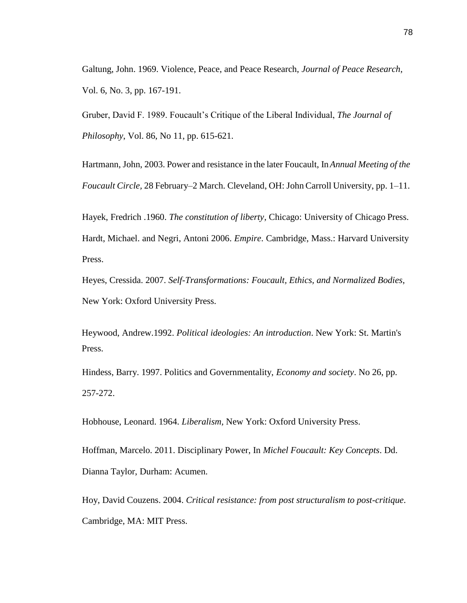Galtung, John. 1969. Violence, Peace, and Peace Research, *Journal of Peace Research*, Vol. 6, No. 3, pp. 167-191.

Gruber, David F. 1989. Foucault's Critique of the Liberal Individual, *The Journal of Philosophy*, Vol. 86, No 11, pp. 615-621.

Hartmann, John, 2003. Power and resistance in the later Foucault, In*Annual Meeting of the Foucault Circle,* 28 February–2 March. Cleveland, OH: John Carroll University, pp. 1–11.

Hayek, Fredrich .1960. *The constitution of liberty*, Chicago: University of Chicago Press. Hardt, Michael. and Negri, Antoni 2006. *Empire*. Cambridge, Mass.: Harvard University Press.

Heyes, Cressida. 2007. *Self-Transformations: Foucault, Ethics, and Normalized Bodies*, New York: Oxford University Press.

Heywood, Andrew.1992. *Political ideologies: An introduction*. New York: St. Martin's Press.

Hindess, Barry. 1997. Politics and Governmentality, *Economy and society*. No 26, pp. 257-272.

Hobhouse, Leonard. 1964. *Liberalism,* New York: Oxford University Press.

Hoffman, Marcelo. 2011. Disciplinary Power, In *Michel Foucault: Key Concepts*. Dd. Dianna Taylor, Durham: Acumen.

Hoy, David Couzens. 2004. *Critical resistance: from post structuralism to post-critique*. Cambridge, MA: MIT Press.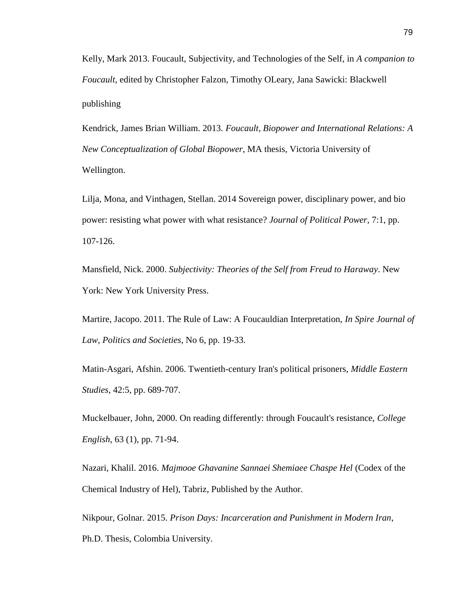Kelly, Mark 2013. Foucault, Subjectivity, and Technologies of the Self, in *A companion to Foucault*, edited by Christopher Falzon, Timothy OLeary, Jana Sawicki: Blackwell publishing

Kendrick, James Brian William. 2013. *Foucault, Biopower and International Relations: A New Conceptualization of Global Biopower*, MA thesis, Victoria University of Wellington.

Lilja, Mona, and Vinthagen, Stellan. 2014 Sovereign power, disciplinary power, and bio power: resisting what power with what resistance? *Journal of Political Power*, 7:1, pp. 107-126.

Mansfield, Nick. 2000. *Subjectivity: Theories of the Self from Freud to Haraway*. New York: New York University Press.

Martire, Jacopo. 2011. The Rule of Law: A Foucauldian Interpretation, *In Spire Journal of Law, Politics and Societies*, No 6, pp. 19-33.

Matin-Asgari, Afshin. 2006. Twentieth-century Iran's political prisoners, *Middle Eastern Studies*, 42:5, pp. 689-707.

Muckelbauer, John, 2000. On reading differently: through Foucault's resistance, *College English*, 63 (1), pp. 71-94.

Nazari, Khalil. 2016. *Majmooe Ghavanine Sannaei Shemiaee Chaspe Hel* (Codex of the Chemical Industry of Hel), Tabriz, Published by the Author.

Nikpour, Golnar. 2015. *Prison Days: Incarceration and Punishment in Modern Iran*, Ph.D. Thesis, Colombia University.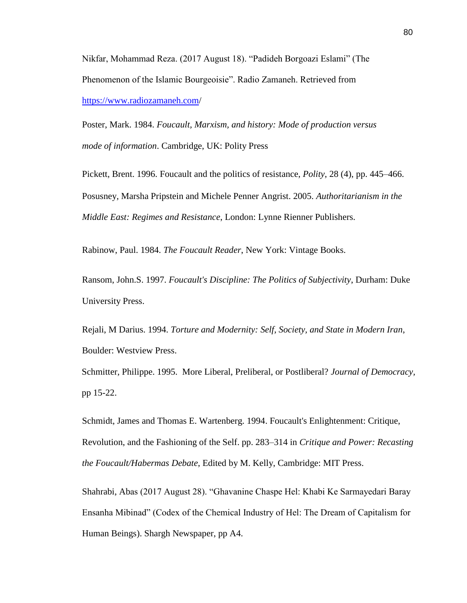Nikfar, Mohammad Reza. (2017 August 18). "Padideh Borgoazi Eslami" (The Phenomenon of the Islamic Bourgeoisie". Radio Zamaneh. Retrieved from <https://www.radiozamaneh.com/>

Poster, Mark. 1984. *Foucault, Marxism, and history: Mode of production versus mode of information*. Cambridge, UK: Polity Press

Pickett, Brent. 1996. Foucault and the politics of resistance, *Polity*, 28 (4), pp. 445–466. Posusney, Marsha Pripstein and Michele Penner Angrist. 2005. *Authoritarianism in the Middle East: Regimes and Resistance*, London: Lynne Rienner Publishers.

Rabinow, Paul. 1984. *The Foucault Reader*, New York: Vintage Books.

Ransom, John.S. 1997. *Foucault's Discipline: The Politics of Subjectivity*, Durham: Duke University Press.

Rejali, M Darius. 1994. *Torture and Modernity: Self, Society, and State in Modern Iran*, Boulder: Westview Press.

Schmitter, Philippe. 1995. More Liberal, Preliberal, or Postliberal? *[Journal of Democracy,](https://muse.jhu.edu/journal/98)*  pp 15-22.

Schmidt, James and Thomas E. Wartenberg. 1994. Foucault's Enlightenment: Critique, Revolution, and the Fashioning of the Self. pp. 283–314 in *Critique and Power: Recasting the Foucault/Habermas Debate*, Edited by M. Kelly, Cambridge: MIT Press.

Shahrabi, Abas (2017 August 28). "Ghavanine Chaspe Hel: Khabi Ke Sarmayedari Baray Ensanha Mibinad" (Codex of the Chemical Industry of Hel: The Dream of Capitalism for Human Beings). Shargh Newspaper, pp A4.